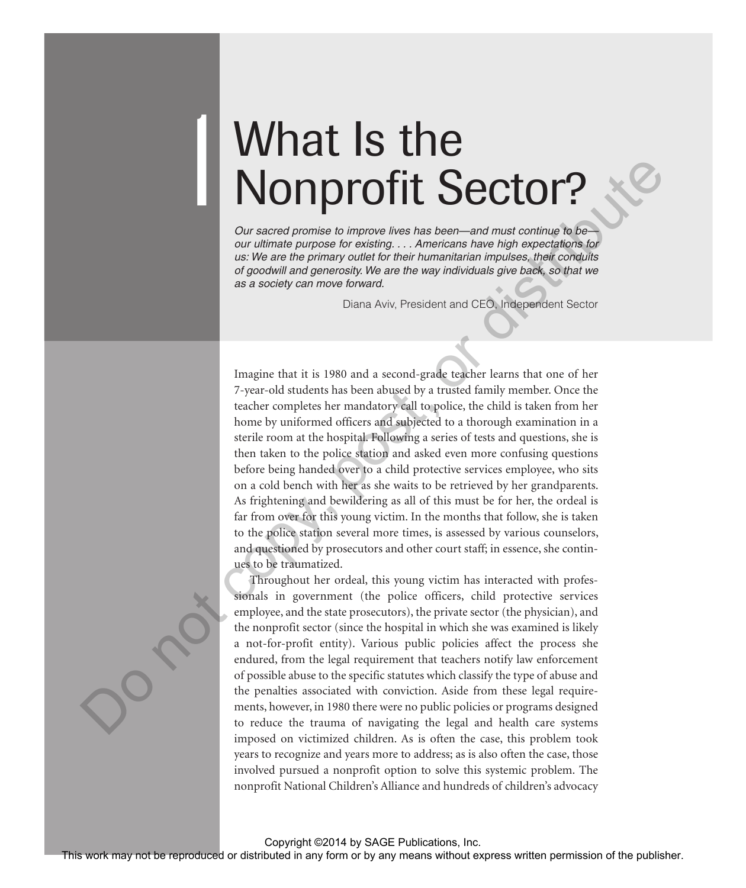# What Is the Nonprofit Sector?

|<br>|<br>|

*Our sacred promise to improve lives has been—and must continue to be our ultimate purpose for existing. . . . Americans have high expectations for us: We are the primary outlet for their humanitarian impulses, their conduits of goodwill and generosity. We are the way individuals give back, so that we as a society can move forward.* 

Diana Aviv, President and CEO, Independent Sector

 Imagine that it is 1980 and a second-grade teacher learns that one of her 7-year-old students has been abused by a trusted family member. Once the teacher completes her mandatory call to police, the child is taken from her home by uniformed officers and subjected to a thorough examination in a sterile room at the hospital. Following a series of tests and questions, she is then taken to the police station and asked even more confusing questions before being handed over to a child protective services employee, who sits on a cold bench with her as she waits to be retrieved by her grandparents. As frightening and bewildering as all of this must be for her, the ordeal is far from over for this young victim. In the months that follow, she is taken to the police station several more times, is assessed by various counselors, and questioned by prosecutors and other court staff; in essence, she continues to be traumatized.

 Throughout her ordeal, this young victim has interacted with professionals in government (the police officers, child protective services employee, and the state prosecutors), the private sector (the physician), and the nonprofit sector (since the hospital in which she was examined is likely a not-for-profit entity). Various public policies affect the process she endured, from the legal requirement that teachers notify law enforcement of possible abuse to the specific statutes which classify the type of abuse and the penalties associated with conviction. Aside from these legal requirements, however, in 1980 there were no public policies or programs designed to reduce the trauma of navigating the legal and health care systems imposed on victimized children. As is often the case, this problem took years to recognize and years more to address; as is also often the case, those involved pursued a nonprofit option to solve this systemic problem. The nonprofit National Children's Alliance and hundreds of children's advocacy **NORE CONSECT THE SECTION PROPERTY AND CONSECT THE CONSECT THE CONSECT THE CONSECT THE CONSECT THE CONSECT THE CONSECT THE CONSECT THE CONSECT THE CONSECT THE CONSECT THE CONSECT THE CONSECT THE CONSECT THE CONSECT THE CO**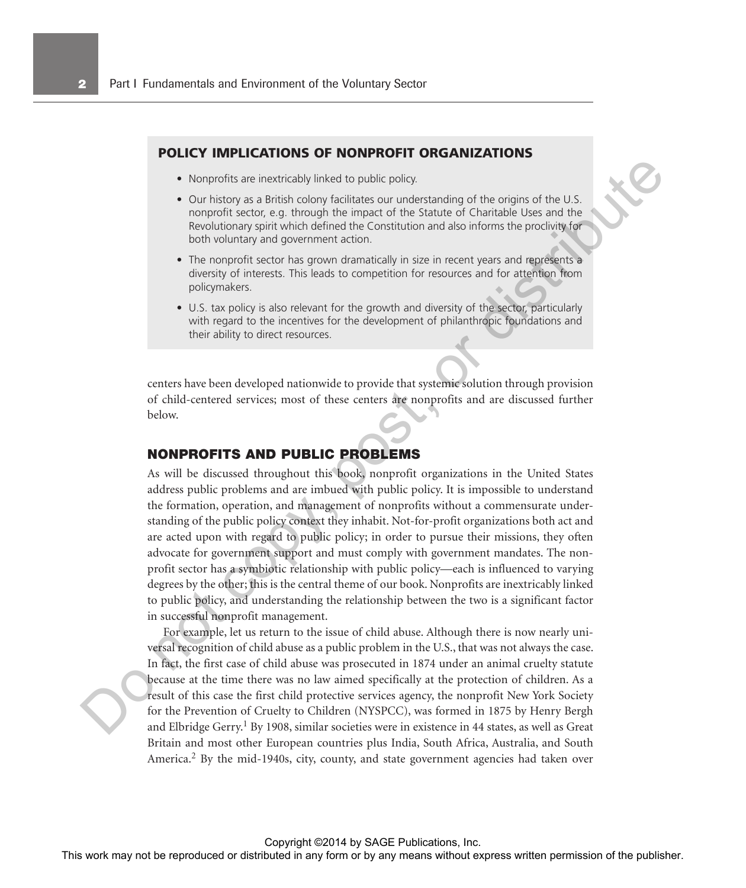#### **POLICY IMPLICATIONS OF NONPROFIT ORGANIZATIONS**

- Nonprofits are inextricably linked to public policy.
- Our history as a British colony facilitates our understanding of the origins of the U.S. nonprofit sector, e.g. through the impact of the Statute of Charitable Uses and the Revolutionary spirit which defined the Constitution and also informs the proclivity for both voluntary and government action.
- The nonprofit sector has grown dramatically in size in recent years and represents a diversity of interests. This leads to competition for resources and for attention from policymakers.
- U.S. tax policy is also relevant for the growth and diversity of the sector, particularly with regard to the incentives for the development of philanthropic foundations and their ability to direct resources.

centers have been developed nationwide to provide that systemic solution through provision of child-centered services; most of these centers are nonprofits and are discussed further below.

#### **NONPROFITS AND PUBLIC PROBLEMS**

 As will be discussed throughout this book, nonprofit organizations in the United States address public problems and are imbued with public policy. It is impossible to understand the formation, operation, and management of nonprofits without a commensurate understanding of the public policy context they inhabit. Not-for-profit organizations both act and are acted upon with regard to public policy; in order to pursue their missions, they often advocate for government support and must comply with government mandates. The nonprofit sector has a symbiotic relationship with public policy—each is influenced to varying degrees by the other; this is the central theme of our book. Nonprofits are inextricably linked to public policy, and understanding the relationship between the two is a significant factor in successful nonprofit management. Neveroth sure in exterior in the repression or distributed or distributed in any form or any means when the repression or the repression or the publisher. This any means when the publisher or the publisher and the publish

 For example, let us return to the issue of child abuse. Although there is now nearly universal recognition of child abuse as a public problem in the U.S., that was not always the case. In fact, the first case of child abuse was prosecuted in 1874 under an animal cruelty statute because at the time there was no law aimed specifically at the protection of children. As a result of this case the first child protective services agency, the nonprofit New York Society for the Prevention of Cruelty to Children (NYSPCC), was formed in 1875 by Henry Bergh and Elbridge Gerry.<sup>1</sup> By 1908, similar societies were in existence in 44 states, as well as Great Britain and most other European countries plus India, South Africa, Australia, and South America.<sup>2</sup> By the mid-1940s, city, county, and state government agencies had taken over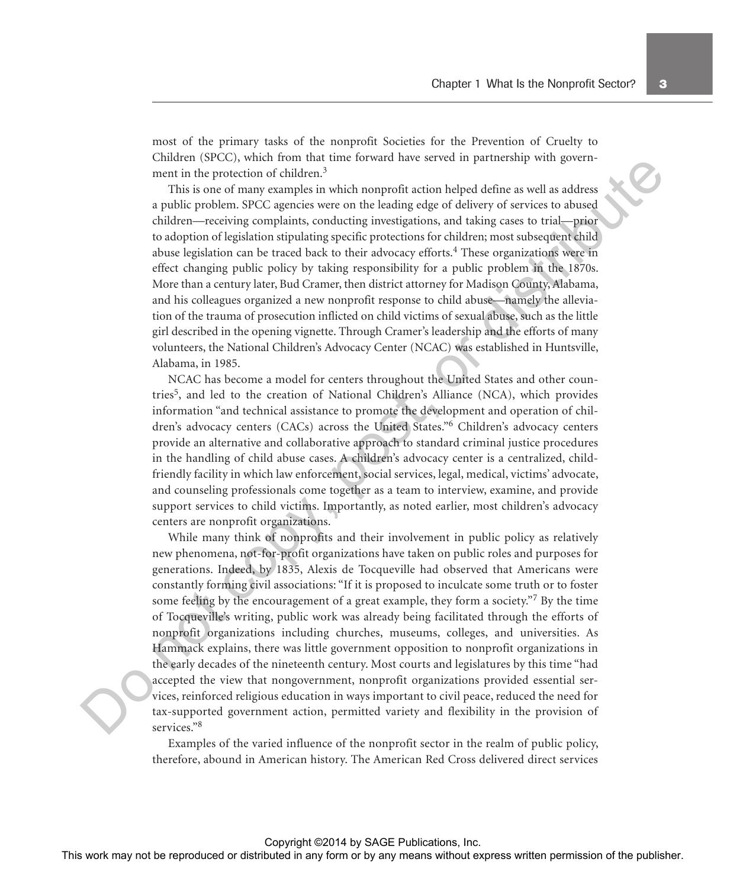most of the primary tasks of the nonprofit Societies for the Prevention of Cruelty to Children (SPCC), which from that time forward have served in partnership with government in the protection of children.<sup>3</sup>

 This is one of many examples in which nonprofit action helped define as well as address a public problem. SPCC agencies were on the leading edge of delivery of services to abused children—receiving complaints, conducting investigations, and taking cases to trial—prior to adoption of legislation stipulating specific protections for children; most subsequent child abuse legislation can be traced back to their advocacy efforts. 4 These organizations were in effect changing public policy by taking responsibility for a public problem in the 1870s. More than a century later, Bud Cramer, then district attorney for Madison County, Alabama, and his colleagues organized a new nonprofit response to child abuse—namely the alleviation of the trauma of prosecution inflicted on child victims of sexual abuse, such as the little girl described in the opening vignette. Through Cramer's leadership and the efforts of many volunteers, the National Children's Advocacy Center (NCAC) was established in Huntsville, Alabama, in 1985.

 NCAC has become a model for centers throughout the United States and other countries<sup>5</sup>, and led to the creation of National Children's Alliance (NCA), which provides information "and technical assistance to promote the development and operation of children's advocacy centers (CACs) across the United States."<sup>6</sup> Children's advocacy centers provide an alternative and collaborative approach to standard criminal justice procedures in the handling of child abuse cases. A children's advocacy center is a centralized, childfriendly facility in which law enforcement, social services, legal, medical, victims' advocate, and counseling professionals come together as a team to interview, examine, and provide support services to child victims. Importantly, as noted earlier, most children's advocacy centers are nonprofit organizations.

 While many think of nonprofits and their involvement in public policy as relatively new phenomena, not-for-profit organizations have taken on public roles and purposes for generations. Indeed, by 1835, Alexis de Tocqueville had observed that Americans were constantly forming civil associations: "If it is proposed to inculcate some truth or to foster some feeling by the encouragement of a great example, they form a society."<sup>7</sup> By the time of Tocqueville's writing, public work was already being facilitated through the efforts of nonprofit organizations including churches, museums, colleges, and universities. As Hammack explains, there was little government opposition to nonprofit organizations in the early decades of the nineteenth century. Most courts and legislatures by this time "had accepted the view that nongovernment, nonprofit organizations provided essential services, reinforced religious education in ways important to civil peace, reduced the need for tax-supported government action, permitted variety and flexibility in the provision of services."<sup>8</sup> The results of the results of the results of the results with the results of the results are the results with the results of the results with the results of the results and the results of the results are the results of th

 Examples of the varied influence of the nonprofit sector in the realm of public policy, therefore, abound in American history. The American Red Cross delivered direct services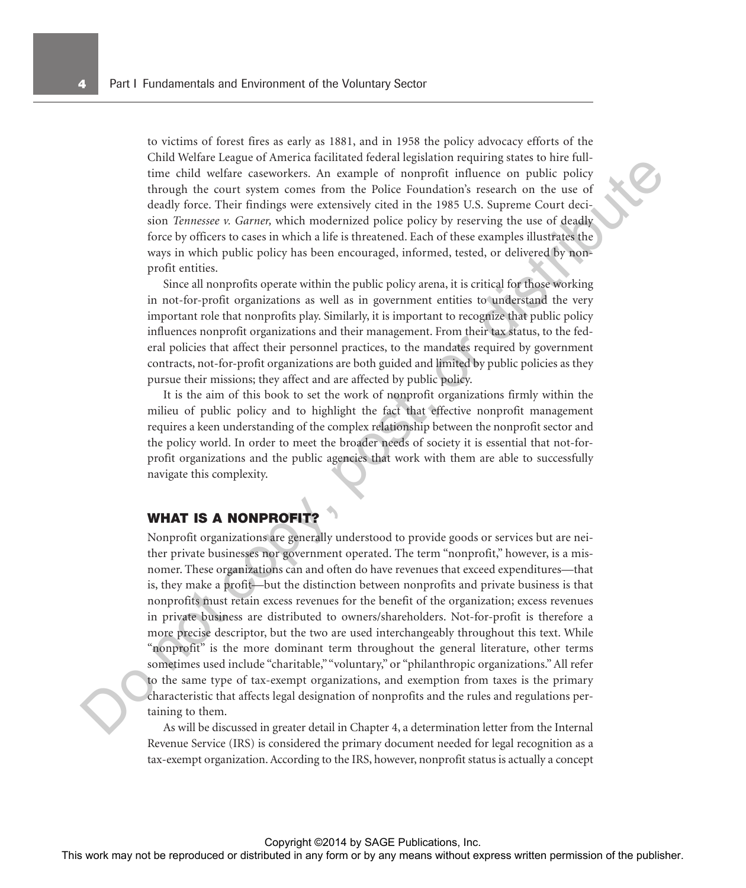to victims of forest fires as early as 1881, and in 1958 the policy advocacy efforts of the Child Welfare League of America facilitated federal legislation requiring states to hire fulltime child welfare caseworkers. An example of nonprofit influence on public policy through the court system comes from the Police Foundation's research on the use of deadly force. Their findings were extensively cited in the 1985 U.S. Supreme Court decision *Tennessee v. Garner,* which modernized police policy by reserving the use of deadly force by officers to cases in which a life is threatened. Each of these examples illustrates the ways in which public policy has been encouraged, informed, tested, or delivered by nonprofit entities.

 Since all nonprofits operate within the public policy arena, it is critical for those working in not-for-profit organizations as well as in government entities to understand the very important role that nonprofits play. Similarly, it is important to recognize that public policy influences nonprofit organizations and their management. From their tax status, to the federal policies that affect their personnel practices, to the mandates required by government contracts, not-for-profit organizations are both guided and limited by public policies as they pursue their missions; they affect and are affected by public policy.

 It is the aim of this book to set the work of nonprofit organizations firmly within the milieu of public policy and to highlight the fact that effective nonprofit management requires a keen understanding of the complex relationship between the nonprofit sector and the policy world. In order to meet the broader needs of society it is essential that not-forprofit organizations and the public agencies that work with them are able to successfully navigate this complexity.

#### **WHAT IS A NONPROFIT?**

 Nonprofit organizations are generally understood to provide goods or services but are neither private businesses nor government operated. The term "nonprofit," however, is a misnomer. These organizations can and often do have revenues that exceed expenditures—that is, they make a profit—but the distinction between nonprofits and private business is that nonprofits must retain excess revenues for the benefit of the organization; excess revenues in private business are distributed to owners/shareholders. Not-for-profit is therefore a more precise descriptor, but the two are used interchangeably throughout this text. While "nonprofit" is the more dominant term throughout the general literature, other terms sometimes used include "charitable," "voluntary," or "philanthropic organizations." All refer to the same type of tax-exempt organizations, and exemption from taxes is the primary characteristic that affects legal designation of nonprofits and the rules and regulations pertaining to them. Using the computer system with the repression of the reproduced or distributed in any form of the reproduced or distributed in any form of the results of the results of the results of the results of the results of the res

 As will be discussed in greater detail in Chapter 4, a determination letter from the Internal Revenue Service (IRS) is considered the primary document needed for legal recognition as a tax-exempt organization. According to the IRS, however, nonprofit status is actually a concept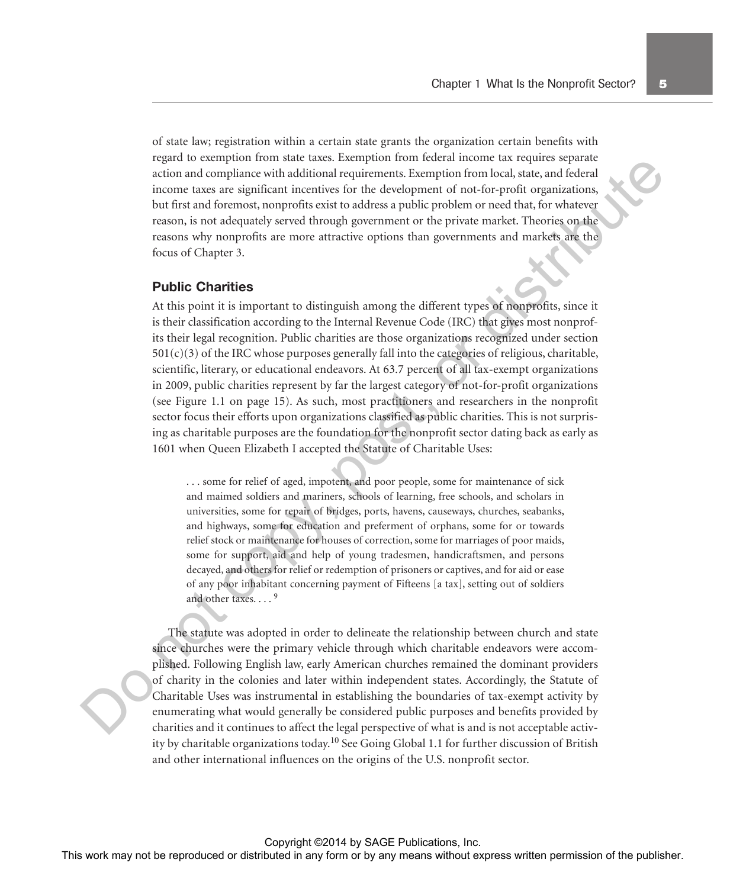of state law; registration within a certain state grants the organization certain benefits with regard to exemption from state taxes. Exemption from federal income tax requires separate action and compliance with additional requirements. Exemption from local, state, and federal income taxes are significant incentives for the development of not-for-profit organizations, but first and foremost, nonprofits exist to address a public problem or need that, for whatever reason, is not adequately served through government or the private market. Theories on the reasons why nonprofits are more attractive options than governments and markets are the focus of Chapter 3.

#### **Public Charities**

 At this point it is important to distinguish among the different types of nonprofits, since it is their classification according to the Internal Revenue Code (IRC) that gives most nonprofits their legal recognition. Public charities are those organizations recognized under section  $501(c)(3)$  of the IRC whose purposes generally fall into the categories of religious, charitable, scientific, literary, or educational endeavors. At 63.7 percent of all tax-exempt organizations in 2009, public charities represent by far the largest category of not-for-profit organizations (see Figure 1.1 on page 15). As such, most practitioners and researchers in the nonprofit sector focus their efforts upon organizations classified as public charities. This is not surprising as charitable purposes are the foundation for the nonprofit sector dating back as early as 1601 when Queen Elizabeth I accepted the Statute of Charitable Uses: Figure 10.1 When the reproduced or distributed in any form or by any form or by any form or by any form or by any form or by any means which are all the publisher. The control or the figure or the publisher any form or by

 . . . some for relief of aged, impotent, and poor people, some for maintenance of sick and maimed soldiers and mariners, schools of learning, free schools, and scholars in universities, some for repair of bridges, ports, havens, causeways, churches, seabanks, and highways, some for education and preferment of orphans, some for or towards relief stock or maintenance for houses of correction, some for marriages of poor maids, some for support, aid and help of young tradesmen, handicraftsmen, and persons decayed, and others for relief or redemption of prisoners or captives, and for aid or ease of any poor inhabitant concerning payment of Fifteens [a tax], setting out of soldiers and other taxes....<sup>9</sup>

 The statute was adopted in order to delineate the relationship between church and state since churches were the primary vehicle through which charitable endeavors were accomplished. Following English law, early American churches remained the dominant providers of charity in the colonies and later within independent states. Accordingly, the Statute of Charitable Uses was instrumental in establishing the boundaries of tax-exempt activity by enumerating what would generally be considered public purposes and benefits provided by charities and it continues to affect the legal perspective of what is and is not acceptable activity by charitable organizations today.<sup>10</sup> See Going Global 1.1 for further discussion of British and other international influences on the origins of the U.S. nonprofit sector.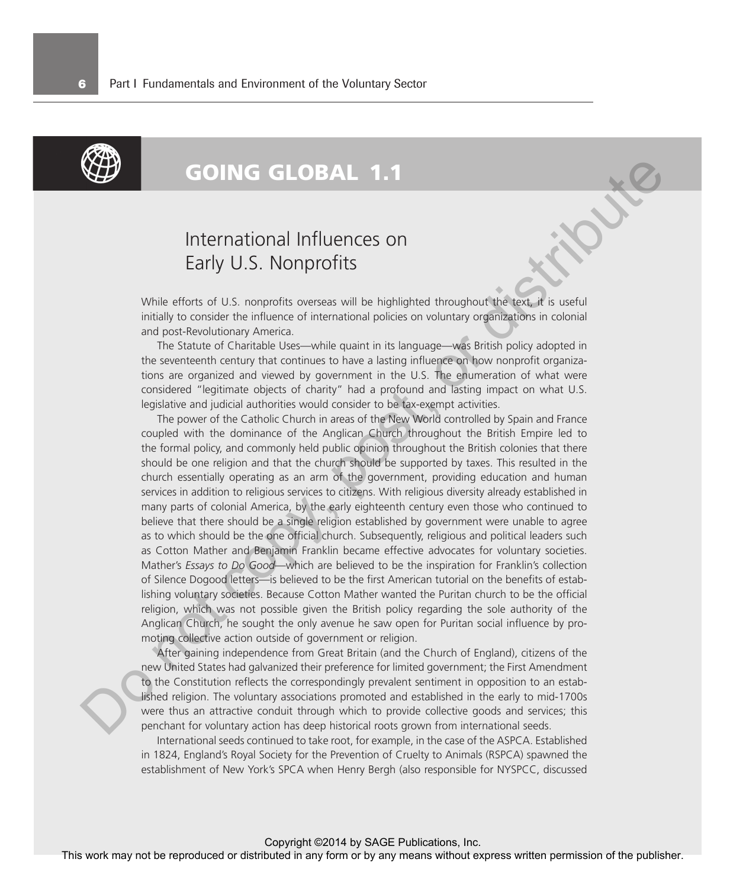

# **GOING GLOBAL 1.1**

## International Influences on Early U.S. Nonprofits

While efforts of U.S. nonprofits overseas will be highlighted throughout the text, it is useful initially to consider the influence of international policies on voluntary organizations in colonial and post-Revolutionary America.

The Statute of Charitable Uses—while quaint in its language—was British policy adopted in the seventeenth century that continues to have a lasting influence on how nonprofit organizations are organized and viewed by government in the U.S. The enumeration of what were considered "legitimate objects of charity" had a profound and lasting impact on what U.S. legislative and judicial authorities would consider to be tax-exempt activities.

The power of the Catholic Church in areas of the New World controlled by Spain and France coupled with the dominance of the Anglican Church throughout the British Empire led to the formal policy, and commonly held public opinion throughout the British colonies that there should be one religion and that the church should be supported by taxes. This resulted in the church essentially operating as an arm of the government, providing education and human services in addition to religious services to citizens. With religious diversity already established in many parts of colonial America, by the early eighteenth century even those who continued to believe that there should be a single religion established by government were unable to agree as to which should be the one official church. Subsequently, religious and political leaders such as Cotton Mather and Benjamin Franklin became effective advocates for voluntary societies. Mather's *Essays to Do Good*—which are believed to be the inspiration for Franklin's collection of Silence Dogood letters—is believed to be the first American tutorial on the benefits of establishing voluntary societies. Because Cotton Mather wanted the Puritan church to be the official religion, which was not possible given the British policy regarding the sole authority of the Anglican Church, he sought the only avenue he saw open for Puritan social influence by promoting collective action outside of government or religion. **THE SECURE CONSUL 1.1**<br>
International Influences on<br>
Early U.S. Nonprofits<br>
when the reproduced in any form or beinging and any operators with a<br>significant in any of the publisher of the publisher of the publisher of<br>
i

After gaining independence from Great Britain (and the Church of England), citizens of the new United States had galvanized their preference for limited government; the First Amendment to the Constitution reflects the correspondingly prevalent sentiment in opposition to an established religion. The voluntary associations promoted and established in the early to mid-1700s were thus an attractive conduit through which to provide collective goods and services; this penchant for voluntary action has deep historical roots grown from international seeds.

International seeds continued to take root, for example, in the case of the ASPCA. Established in 1824, England's Royal Society for the Prevention of Cruelty to Animals (RSPCA) spawned the establishment of New York's SPCA when Henry Bergh (also responsible for NYSPCC, discussed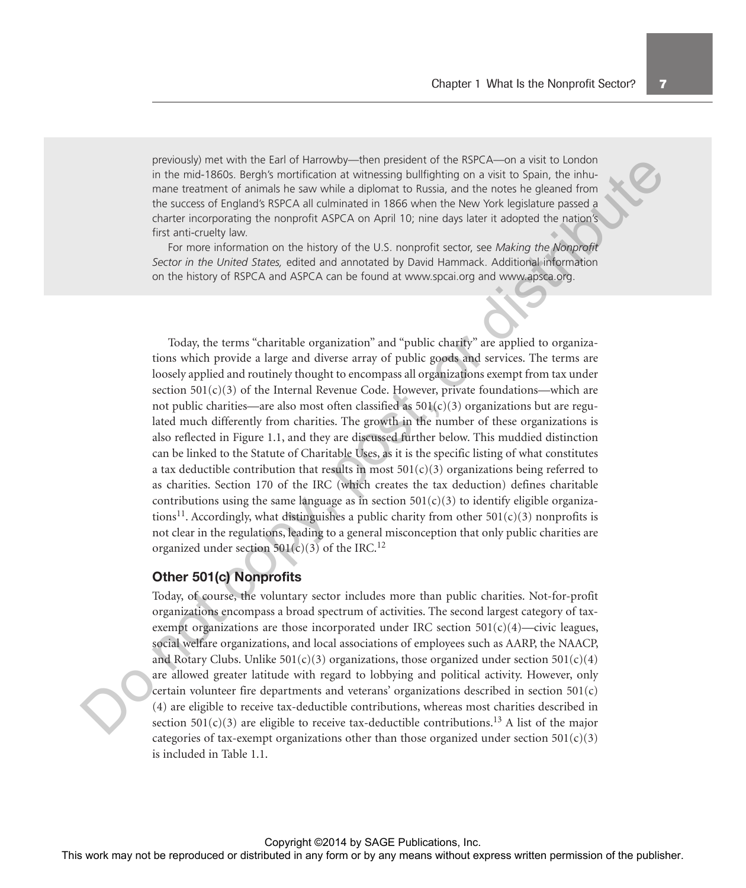previously) met with the Earl of Harrowby—then president of the RSPCA—on a visit to London in the mid-1860s. Bergh's mortification at witnessing bullfighting on a visit to Spain, the inhumane treatment of animals he saw while a diplomat to Russia, and the notes he gleaned from the success of England's RSPCA all culminated in 1866 when the New York legislature passed a charter incorporating the nonprofit ASPCA on April 10; nine days later it adopted the nation's first anti-cruelty law.

For more information on the history of the U.S. nonprofit sector, see *Making the Nonprofit Sector in the United States,* edited and annotated by David Hammack. Additional information on the history of RSPCA and ASPCA can be found at www.spcai.org and www.apsca.org.

 Today, the terms "charitable organization" and "public charity" are applied to organizations which provide a large and diverse array of public goods and services. The terms are loosely applied and routinely thought to encompass all organizations exempt from tax under section  $501(c)(3)$  of the Internal Revenue Code. However, private foundations—which are not public charities—are also most often classified as  $501(c)(3)$  organizations but are regulated much differently from charities. The growth in the number of these organizations is also reflected in Figure 1.1, and they are discussed further below. This muddied distinction can be linked to the Statute of Charitable Uses, as it is the specific listing of what constitutes a tax deductible contribution that results in most  $501(c)(3)$  organizations being referred to as charities. Section 170 of the IRC (which creates the tax deduction) defines charitable contributions using the same language as in section  $501(c)(3)$  to identify eligible organizations<sup>11</sup>. Accordingly, what distinguishes a public charity from other 501(c)(3) nonprofits is not clear in the regulations, leading to a general misconception that only public charities are organized under section  $501(c)(3)$  of the IRC.<sup>12</sup> personality mix in the cart of the publishering in any form or the publishering in the response of the results of the results of the state or distributed in any form or by any means of the publishering and the publisherin

#### **Other 501(c) Nonprofits**

 Today, of course, the voluntary sector includes more than public charities. Not-for-profit organizations encompass a broad spectrum of activities. The second largest category of taxexempt organizations are those incorporated under IRC section  $501(c)(4)$ —civic leagues, social welfare organizations, and local associations of employees such as AARP, the NAACP, and Rotary Clubs. Unlike  $501(c)(3)$  organizations, those organized under section  $501(c)(4)$ are allowed greater latitude with regard to lobbying and political activity. However, only certain volunteer fire departments and veterans' organizations described in section 501(c) (4) are eligible to receive tax-deductible contributions, whereas most charities described in section 501(c)(3) are eligible to receive tax-deductible contributions.<sup>13</sup> A list of the major categories of tax-exempt organizations other than those organized under section  $501(c)(3)$ is included in Table 1.1.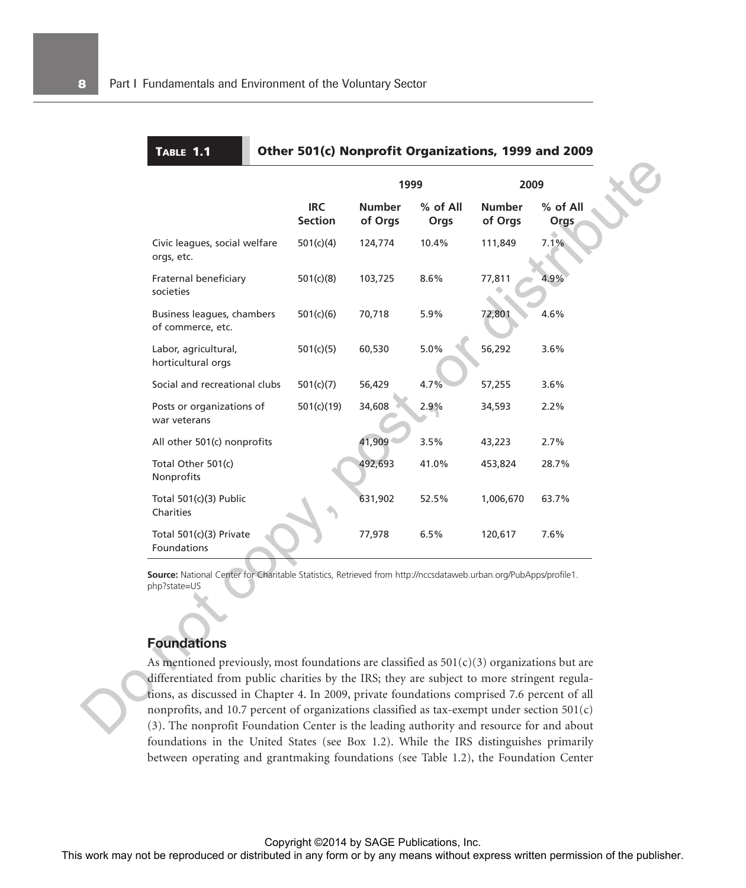| <b>TABLE 1.1</b> |  |
|------------------|--|
|                  |  |
|                  |  |

#### **Other 501(c) Nonprofit Organizations, 1999 and 2009**

|                                                                                                                                                                                                                                                                                                                                                                                                                                                                                                                                                                        |                              | 1999                                       |                    | 2009                     |                  |
|------------------------------------------------------------------------------------------------------------------------------------------------------------------------------------------------------------------------------------------------------------------------------------------------------------------------------------------------------------------------------------------------------------------------------------------------------------------------------------------------------------------------------------------------------------------------|------------------------------|--------------------------------------------|--------------------|--------------------------|------------------|
|                                                                                                                                                                                                                                                                                                                                                                                                                                                                                                                                                                        | <b>IRC</b><br><b>Section</b> | <b>Number</b><br>of Orgs                   | $%$ of All<br>Orgs | <b>Number</b><br>of Orgs | % of All<br>Orgs |
| Civic leagues, social welfare<br>orgs, etc.                                                                                                                                                                                                                                                                                                                                                                                                                                                                                                                            | 501(c)(4)                    | 124,774                                    | 10.4%              | 111,849                  | 7.1%             |
| Fraternal beneficiary<br>societies                                                                                                                                                                                                                                                                                                                                                                                                                                                                                                                                     | 501(c)(8)                    | 103,725                                    | 8.6%               | 77,811                   | 4.9%             |
| Business leagues, chambers<br>of commerce, etc.                                                                                                                                                                                                                                                                                                                                                                                                                                                                                                                        | 501(c)(6)                    | 70,718                                     | 5.9%               | 72,801                   | 4.6%             |
| Labor, agricultural,<br>horticultural orgs                                                                                                                                                                                                                                                                                                                                                                                                                                                                                                                             | 501(c)(5)                    | 60,530                                     | 5.0%               | 56,292                   | 3.6%             |
| Social and recreational clubs                                                                                                                                                                                                                                                                                                                                                                                                                                                                                                                                          | 501(c)(7)                    | 56,429                                     | 4.7%               | 57,255                   | 3.6%             |
| Posts or organizations of<br>war veterans                                                                                                                                                                                                                                                                                                                                                                                                                                                                                                                              | 501(c)(19)                   | 34,608                                     | 2.9%               | 34,593                   | 2.2%             |
| All other 501(c) nonprofits                                                                                                                                                                                                                                                                                                                                                                                                                                                                                                                                            |                              | 41,909                                     | 3.5%               | 43,223                   | 2.7%             |
| Total Other 501(c)<br>Nonprofits                                                                                                                                                                                                                                                                                                                                                                                                                                                                                                                                       |                              | 492,693                                    | 41.0%              | 453,824                  | 28.7%            |
| Total 501(c)(3) Public<br>Charities                                                                                                                                                                                                                                                                                                                                                                                                                                                                                                                                    |                              | 631,902                                    | 52.5%              | 1,006,670                | 63.7%            |
| Total 501(c)(3) Private<br>Foundations                                                                                                                                                                                                                                                                                                                                                                                                                                                                                                                                 |                              | 77,978                                     | 6.5%               | 120,617                  | 7.6%             |
| Source: National Center for Charitable Statistics, Retrieved from http://nccsdataweb.urban.org/PubApps/profile1.<br>php?state=US<br><b>Foundations</b><br>As mentioned previously, most foundations are classified as $501(c)(3)$ organizations but are                                                                                                                                                                                                                                                                                                                |                              |                                            |                    |                          |                  |
| differentiated from public charities by the IRS; they are subject to more stringent regula-<br>tions, as discussed in Chapter 4. In 2009, private foundations comprised 7.6 percent of all<br>nonprofits, and 10.7 percent of organizations classified as tax-exempt under section 501(c)<br>(3). The nonprofit Foundation Center is the leading authority and resource for and about<br>foundations in the United States (see Box 1.2). While the IRS distinguishes primarily<br>between operating and grantmaking foundations (see Table 1.2), the Foundation Center |                              |                                            |                    |                          |                  |
| This work may not be reproduced or distributed in any form or by any means without express written permission of the publisher.                                                                                                                                                                                                                                                                                                                                                                                                                                        |                              | Copyright ©2014 by SAGE Publications, Inc. |                    |                          |                  |

#### **Foundations**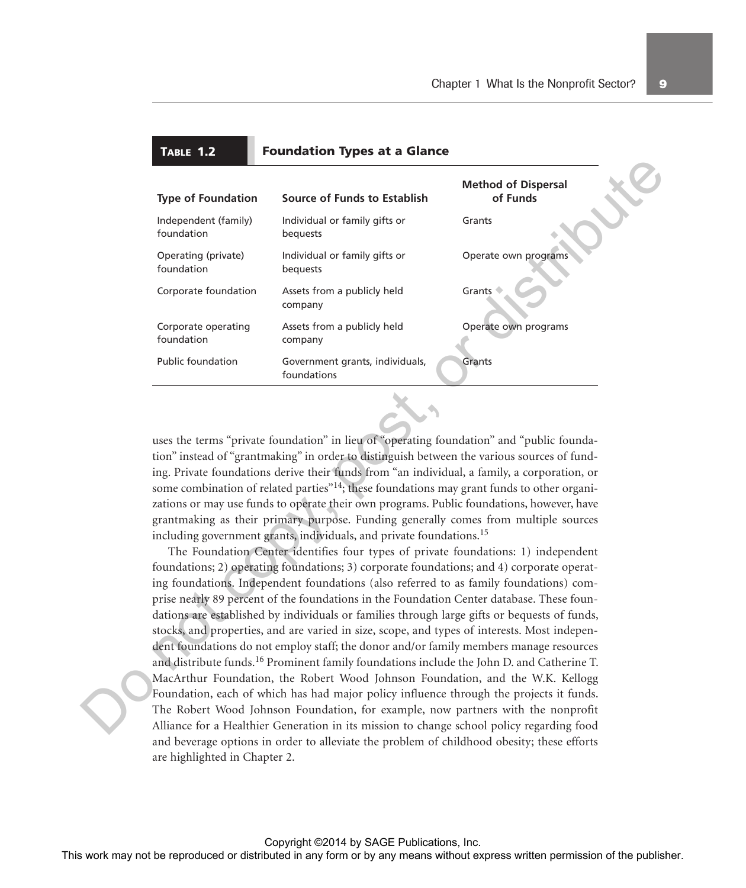| <b>Type of Foundation</b>                                                              | Source of Funds to Establish                                                                                                                                                                                                                                                                                                                                                                                                                                                                                                                                                                                                                                                                                                                      | <b>Method of Dispersal</b><br>of Funds |
|----------------------------------------------------------------------------------------|---------------------------------------------------------------------------------------------------------------------------------------------------------------------------------------------------------------------------------------------------------------------------------------------------------------------------------------------------------------------------------------------------------------------------------------------------------------------------------------------------------------------------------------------------------------------------------------------------------------------------------------------------------------------------------------------------------------------------------------------------|----------------------------------------|
| Independent (family)<br>foundation                                                     | Individual or family gifts or<br>bequests                                                                                                                                                                                                                                                                                                                                                                                                                                                                                                                                                                                                                                                                                                         | Grants                                 |
| Operating (private)<br>foundation                                                      | Individual or family gifts or<br>bequests                                                                                                                                                                                                                                                                                                                                                                                                                                                                                                                                                                                                                                                                                                         | Operate own programs                   |
| Corporate foundation                                                                   | Assets from a publicly held<br>company                                                                                                                                                                                                                                                                                                                                                                                                                                                                                                                                                                                                                                                                                                            | Grants                                 |
| Corporate operating<br>foundation                                                      | Assets from a publicly held<br>company                                                                                                                                                                                                                                                                                                                                                                                                                                                                                                                                                                                                                                                                                                            | Operate own programs                   |
| Public foundation                                                                      | Government grants, individuals,<br>foundations                                                                                                                                                                                                                                                                                                                                                                                                                                                                                                                                                                                                                                                                                                    | Grants                                 |
|                                                                                        |                                                                                                                                                                                                                                                                                                                                                                                                                                                                                                                                                                                                                                                                                                                                                   |                                        |
| dent foundations do not employ staff; the donor and/or family members manage resources | grantmaking as their primary purpose. Funding generally comes from multiple sources<br>including government grants, individuals, and private foundations. <sup>15</sup><br>The Foundation Center identifies four types of private foundations: 1) independent<br>foundations; 2) operating foundations; 3) corporate foundations; and 4) corporate operat-<br>ing foundations. Independent foundations (also referred to as family foundations) com-<br>prise nearly 89 percent of the foundations in the Foundation Center database. These foun-<br>dations are established by individuals or families through large gifts or bequests of funds,<br>stocks, and properties, and are varied in size, scope, and types of interests. Most indepen- |                                        |

 **TABLE 1.2 Foundation Types at a Glance**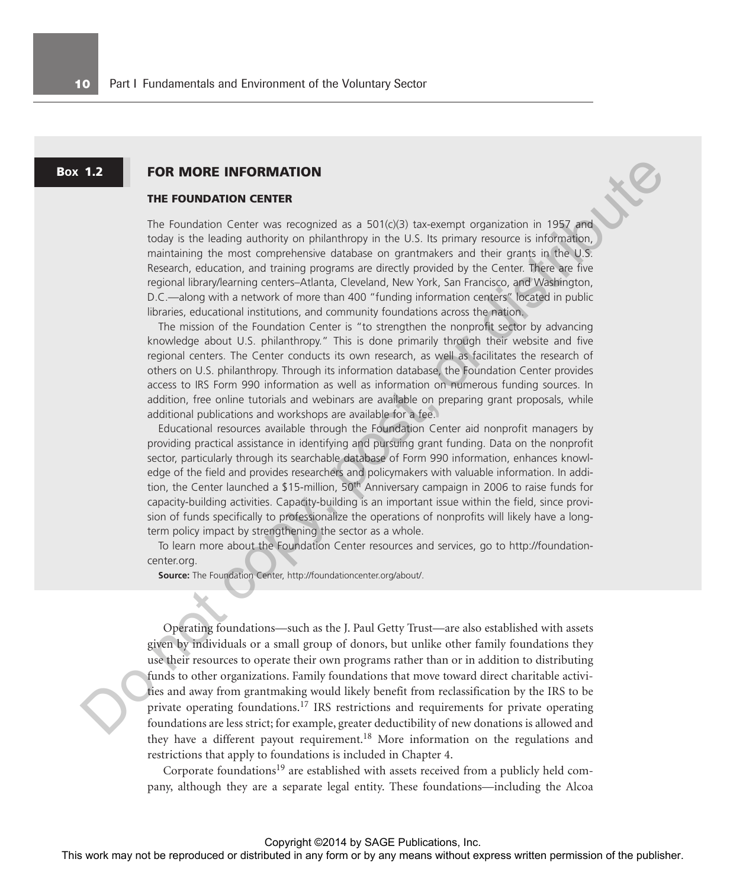#### **FOR MORE INFORMATION BOX 1.2**

#### **THE FOUNDATION CENTER**

The Foundation Center was recognized as a  $501(c)(3)$  tax-exempt organization in 1957 and today is the leading authority on philanthropy in the U.S. Its primary resource is information, maintaining the most comprehensive database on grantmakers and their grants in the U.S. Research, education, and training programs are directly provided by the Center. There are five regional library/learning centers–Atlanta, Cleveland, New York, San Francisco, and Washington, D.C.—along with a network of more than 400 "funding information centers" located in public libraries, educational institutions, and community foundations across the nation.

The mission of the Foundation Center is "to strengthen the nonprofit sector by advancing knowledge about U.S. philanthropy." This is done primarily through their website and five regional centers. The Center conducts its own research, as well as facilitates the research of others on U.S. philanthropy. Through its information database, the Foundation Center provides access to IRS Form 990 information as well as information on numerous funding sources. In addition, free online tutorials and webinars are available on preparing grant proposals, while additional publications and workshops are available for a fee.

Educational resources available through the Foundation Center aid nonprofit managers by providing practical assistance in identifying and pursuing grant funding. Data on the nonprofit sector, particularly through its searchable database of Form 990 information, enhances knowledge of the field and provides researchers and policymakers with valuable information. In addition, the Center launched a \$15-million, 50<sup>th</sup> Anniversary campaign in 2006 to raise funds for capacity-building activities. Capacity-building is an important issue within the field, since provision of funds specifically to professionalize the operations of nonprofits will likely have a longterm policy impact by strengthening the sector as a whole.

To learn more about the Foundation Center resources and services, go to http://foundationcenter.org.

**Source:** The Foundation Center, http://foundationcenter.org/about/.

 Operating foundations—such as the J. Paul Getty Trust—are also established with assets given by individuals or a small group of donors, but unlike other family foundations they use their resources to operate their own programs rather than or in addition to distributing funds to other organizations. Family foundations that move toward direct charitable activities and away from grantmaking would likely benefit from reclassification by the IRS to be private operating foundations. 17 IRS restrictions and requirements for private operating foundations are less strict; for example, greater deductibility of new donations is allowed and they have a different payout requirement. 18 More information on the regulations and restrictions that apply to foundations is included in Chapter 4. **TOR MORE INFORMATION**<br>
THE POURDOR CERRE WAS RESOURCES TO EXCEPT INFORMATION 139 x Photographics in each compression or principality in the control angular permission of the publisher. We<br>can consider the publisher of th

Corporate foundations<sup>19</sup> are established with assets received from a publicly held company, although they are a separate legal entity. These foundations—including the Alcoa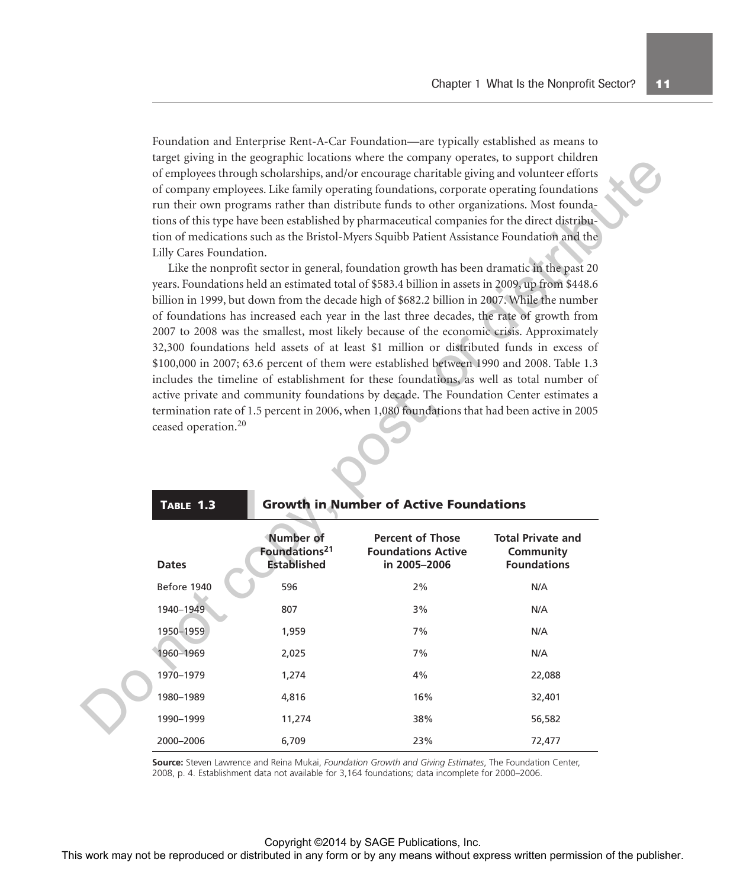Foundation and Enterprise Rent-A-Car Foundation—are typically established as means to target giving in the geographic locations where the company operates, to support children of employees through scholarships, and/or encourage charitable giving and volunteer efforts of company employees. Like family operating foundations, corporate operating foundations run their own programs rather than distribute funds to other organizations. Most foundations of this type have been established by pharmaceutical companies for the direct distribution of medications such as the Bristol-Myers Squibb Patient Assistance Foundation and the Lilly Cares Foundation.

| Lilly Cares Foundation.<br>ceased operation. <sup>20</sup><br><b>TABLE 1.3</b> |                                                                     | tions of this type have been established by pharmaceutical companies for the direct distribu-<br>tion of medications such as the Bristol-Myers Squibb Patient Assistance Foundation and the<br>Like the nonprofit sector in general, foundation growth has been dramatic in the past 20<br>years. Foundations held an estimated total of \$583.4 billion in assets in 2009, up from \$448.6<br>billion in 1999, but down from the decade high of \$682.2 billion in 2007. While the number<br>of foundations has increased each year in the last three decades, the rate of growth from<br>2007 to 2008 was the smallest, most likely because of the economic crisis. Approximately<br>32,300 foundations held assets of at least \$1 million or distributed funds in excess of<br>\$100,000 in 2007; 63.6 percent of them were established between 1990 and 2008. Table 1.3<br>includes the timeline of establishment for these foundations, as well as total number of<br>active private and community foundations by decade. The Foundation Center estimates a<br>termination rate of 1.5 percent in 2006, when 1,080 foundations that had been active in 2005<br><b>Growth in Number of Active Foundations</b> |                                                             |  |
|--------------------------------------------------------------------------------|---------------------------------------------------------------------|--------------------------------------------------------------------------------------------------------------------------------------------------------------------------------------------------------------------------------------------------------------------------------------------------------------------------------------------------------------------------------------------------------------------------------------------------------------------------------------------------------------------------------------------------------------------------------------------------------------------------------------------------------------------------------------------------------------------------------------------------------------------------------------------------------------------------------------------------------------------------------------------------------------------------------------------------------------------------------------------------------------------------------------------------------------------------------------------------------------------------------------------------------------------------------------------------------------------|-------------------------------------------------------------|--|
|                                                                                |                                                                     |                                                                                                                                                                                                                                                                                                                                                                                                                                                                                                                                                                                                                                                                                                                                                                                                                                                                                                                                                                                                                                                                                                                                                                                                                    |                                                             |  |
| <b>Dates</b>                                                                   | <b>Number of</b><br>Foundations <sup>21</sup><br><b>Established</b> | <b>Percent of Those</b><br><b>Foundations Active</b><br>in 2005-2006                                                                                                                                                                                                                                                                                                                                                                                                                                                                                                                                                                                                                                                                                                                                                                                                                                                                                                                                                                                                                                                                                                                                               | <b>Total Private and</b><br>Community<br><b>Foundations</b> |  |
| Before 1940                                                                    | 596                                                                 | 2%                                                                                                                                                                                                                                                                                                                                                                                                                                                                                                                                                                                                                                                                                                                                                                                                                                                                                                                                                                                                                                                                                                                                                                                                                 | N/A                                                         |  |
| 1940-1949                                                                      | 807                                                                 | 3%                                                                                                                                                                                                                                                                                                                                                                                                                                                                                                                                                                                                                                                                                                                                                                                                                                                                                                                                                                                                                                                                                                                                                                                                                 | N/A                                                         |  |
| 1950-1959                                                                      | 1,959                                                               | 7%                                                                                                                                                                                                                                                                                                                                                                                                                                                                                                                                                                                                                                                                                                                                                                                                                                                                                                                                                                                                                                                                                                                                                                                                                 | N/A                                                         |  |
| 1960-1969                                                                      | 2,025                                                               | 7%                                                                                                                                                                                                                                                                                                                                                                                                                                                                                                                                                                                                                                                                                                                                                                                                                                                                                                                                                                                                                                                                                                                                                                                                                 | N/A                                                         |  |
| 1970-1979                                                                      | 1,274                                                               | 4%                                                                                                                                                                                                                                                                                                                                                                                                                                                                                                                                                                                                                                                                                                                                                                                                                                                                                                                                                                                                                                                                                                                                                                                                                 | 22,088                                                      |  |
| 1980-1989                                                                      | 4,816                                                               | 16%                                                                                                                                                                                                                                                                                                                                                                                                                                                                                                                                                                                                                                                                                                                                                                                                                                                                                                                                                                                                                                                                                                                                                                                                                | 32,401                                                      |  |
| 1990-1999                                                                      | 11,274                                                              | 38%                                                                                                                                                                                                                                                                                                                                                                                                                                                                                                                                                                                                                                                                                                                                                                                                                                                                                                                                                                                                                                                                                                                                                                                                                | 56,582                                                      |  |
| 2000-2006                                                                      | 6,709                                                               | 23%                                                                                                                                                                                                                                                                                                                                                                                                                                                                                                                                                                                                                                                                                                                                                                                                                                                                                                                                                                                                                                                                                                                                                                                                                | 72,477                                                      |  |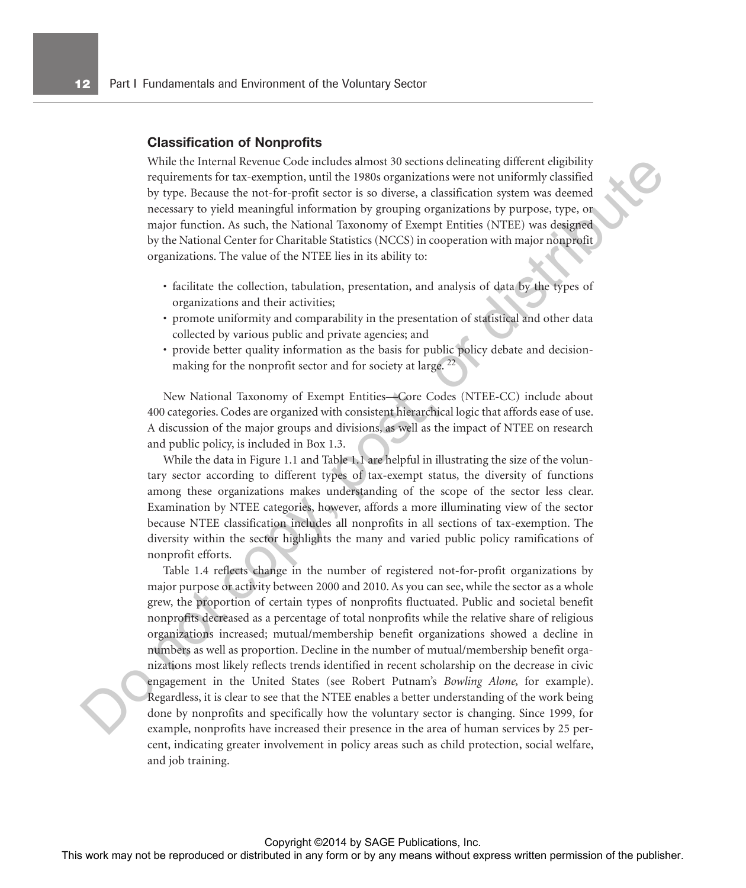#### **Classification of Nonprofits**

 While the Internal Revenue Code includes almost 30 sections delineating different eligibility requirements for tax-exemption, until the 1980s organizations were not uniformly classified by type. Because the not-for-profit sector is so diverse, a classification system was deemed necessary to yield meaningful information by grouping organizations by purpose, type, or major function. As such, the National Taxonomy of Exempt Entities (NTEE) was designed by the National Center for Charitable Statistics (NCCS) in cooperation with major nonprofit organizations. The value of the NTEE lies in its ability to:

- facilitate the collection, tabulation, presentation, and analysis of data by the types of organizations and their activities;
- promote uniformity and comparability in the presentation of statistical and other data collected by various public and private agencies; and
- provide better quality information as the basis for public policy debate and decisionmaking for the nonprofit sector and for society at large. <sup>22</sup>

 New National Taxonomy of Exempt Entities—Core Codes (NTEE-CC) include about 400 categories. Codes are organized with consistent hierarchical logic that affords ease of use. A discussion of the major groups and divisions, as well as the impact of NTEE on research and public policy, is included in Box 1.3.

 While the data in Figure 1.1 and Table 1.1 are helpful in illustrating the size of the voluntary sector according to different types of tax-exempt status, the diversity of functions among these organizations makes understanding of the scope of the sector less clear. Examination by NTEE categories, however, affords a more illuminating view of the sector because NTEE classification includes all nonprofits in all sections of tax-exemption. The diversity within the sector highlights the many and varied public policy ramifications of nonprofit efforts.

 Table 1.4 reflects change in the number of registered not-for-profit organizations by major purpose or activity between 2000 and 2010. As you can see, while the sector as a whole grew, the proportion of certain types of nonprofits fluctuated. Public and societal benefit nonprofits decreased as a percentage of total nonprofits while the relative share of religious organizations increased; mutual/membership benefit organizations showed a decline in numbers as well as proportion. Decline in the number of mutual/membership benefit organizations most likely reflects trends identified in recent scholarship on the decrease in civic engagement in the United States (see Robert Putnam's *Bowling Alone,* for example). Regardless, it is clear to see that the NTEE enables a better understanding of the work being done by nonprofits and specifically how the voluntary sector is changing. Since 1999, for example, nonprofits have increased their presence in the area of human services by 25 percent, indicating greater involvement in policy areas such as child protection, social welfare, and job training. While the heating Research Cole included or distributed in any form of the cole of the basis of the reproduct or distributed in the solution of the publisher. By the Solution of the publisher may not be the publisher of t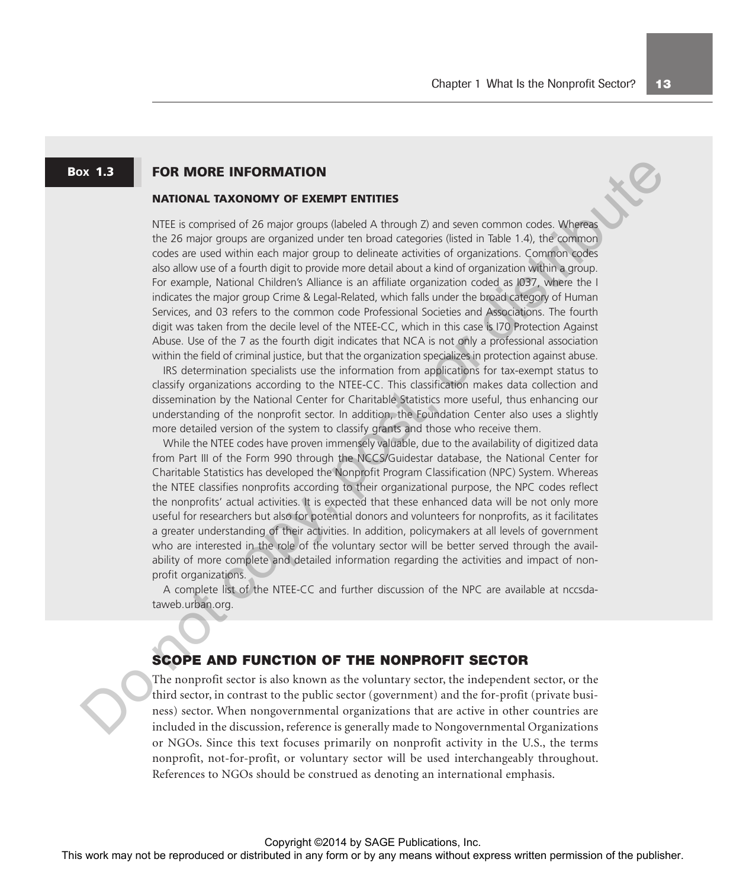#### **FOR MORE INFORMATION BOX 1.3**

#### **NATIONAL TAXONOMY OF EXEMPT ENTITIES**

NTEE is comprised of 26 major groups (labeled A through Z) and seven common codes. Whereas the 26 major groups are organized under ten broad categories (listed in Table 1.4), the common codes are used within each major group to delineate activities of organizations. Common codes also allow use of a fourth digit to provide more detail about a kind of organization within a group. For example, National Children's Alliance is an affiliate organization coded as I037, where the I indicates the major group Crime & Legal-Related, which falls under the broad category of Human Services, and 03 refers to the common code Professional Societies and Associations. The fourth digit was taken from the decile level of the NTEE-CC, which in this case is I70 Protection Against Abuse. Use of the 7 as the fourth digit indicates that NCA is not only a professional association within the field of criminal justice, but that the organization specializes in protection against abuse. **FOR MORE INFORMATION**<br> **NATION CONFORT OF EXERCAT CONFORMATION** THE SURVEY CONSULTED THE TREAT CONFORMATION CONFORMATION CONFORMATION CONFORMATION CONFORMATION CONFORMATION CONFORMATION OF THE SURVEY CONFORMATION CONFORM

IRS determination specialists use the information from applications for tax-exempt status to classify organizations according to the NTEE-CC. This classification makes data collection and dissemination by the National Center for Charitable Statistics more useful, thus enhancing our understanding of the nonprofit sector. In addition, the Foundation Center also uses a slightly more detailed version of the system to classify grants and those who receive them.

While the NTEE codes have proven immensely valuable, due to the availability of digitized data from Part III of the Form 990 through the NCCS/Guidestar database, the National Center for Charitable Statistics has developed the Nonprofit Program Classification (NPC) System. Whereas the NTEE classifies nonprofits according to their organizational purpose, the NPC codes reflect the nonprofits' actual activities. It is expected that these enhanced data will be not only more useful for researchers but also for potential donors and volunteers for nonprofits, as it facilitates a greater understanding of their activities. In addition, policymakers at all levels of government who are interested in the role of the voluntary sector will be better served through the availability of more complete and detailed information regarding the activities and impact of nonprofit organizations.

A complete list of the NTEE-CC and further discussion of the NPC are available at nccsdataweb.urban.org.

#### **SCOPE AND FUNCTION OF THE NONPROFIT SECTOR**

 The nonprofit sector is also known as the voluntary sector, the independent sector, or the third sector, in contrast to the public sector (government) and the for-profit (private business) sector. When nongovernmental organizations that are active in other countries are included in the discussion, reference is generally made to Nongovernmental Organizations or NGOs. Since this text focuses primarily on nonprofit activity in the U.S., the terms nonprofit, not-for-profit, or voluntary sector will be used interchangeably throughout. References to NGOs should be construed as denoting an international emphasis.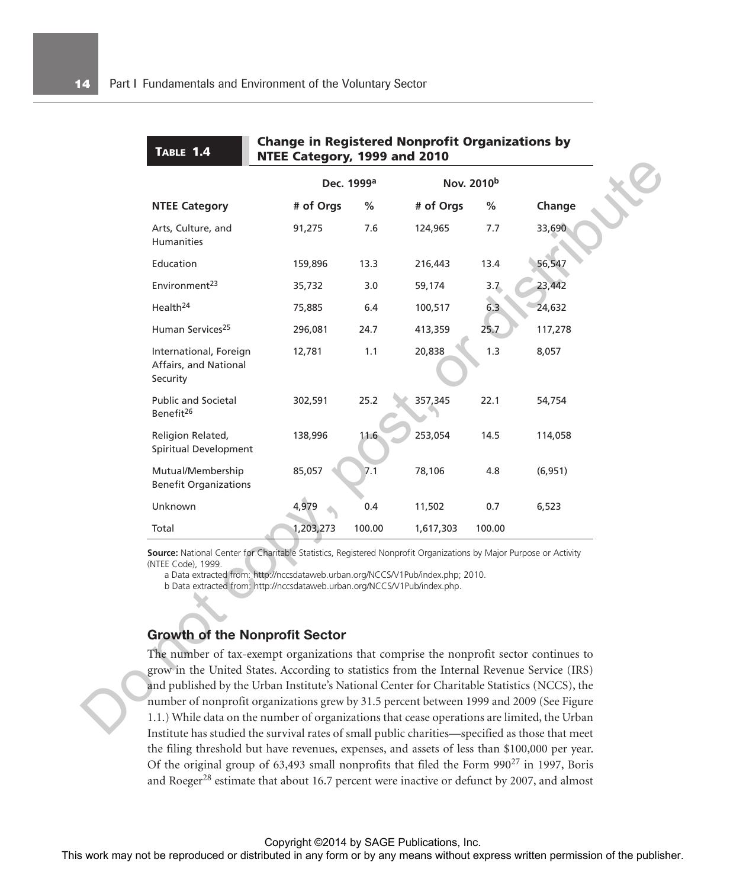|                                                                                                                                                                                                                                                                                                             | Dec. 1999 <sup>a</sup> |        | Nov. 2010 <sup>b</sup>                                                                          |        |          |
|-------------------------------------------------------------------------------------------------------------------------------------------------------------------------------------------------------------------------------------------------------------------------------------------------------------|------------------------|--------|-------------------------------------------------------------------------------------------------|--------|----------|
| <b>NTEE Category</b>                                                                                                                                                                                                                                                                                        | # of Orgs              | %      | # of Orgs                                                                                       | %      | Change   |
| Arts, Culture, and<br><b>Humanities</b>                                                                                                                                                                                                                                                                     | 91,275                 | 7.6    | 124,965                                                                                         | 7.7    | 33,690   |
| Education                                                                                                                                                                                                                                                                                                   | 159,896                | 13.3   | 216,443                                                                                         | 13.4   | 56,547   |
| Environment <sup>23</sup>                                                                                                                                                                                                                                                                                   | 35,732                 | 3.0    | 59,174                                                                                          | 3.7    | 23,442   |
| Health <sup>24</sup>                                                                                                                                                                                                                                                                                        | 75,885                 | 6.4    | 100,517                                                                                         | 6.3    | 24,632   |
| Human Services <sup>25</sup>                                                                                                                                                                                                                                                                                | 296,081                | 24.7   | 413,359                                                                                         | 25.7   | 117,278  |
| International, Foreign<br>Affairs, and National<br>Security                                                                                                                                                                                                                                                 | 12,781                 | 1.1    | 20,838                                                                                          | 1.3    | 8,057    |
| <b>Public and Societal</b><br>Benefit <sup>26</sup>                                                                                                                                                                                                                                                         | 302,591                | 25.2   | 357,345                                                                                         | 22.1   | 54,754   |
| Religion Related,<br>Spiritual Development                                                                                                                                                                                                                                                                  | 138,996                | 11.6   | 253,054                                                                                         | 14.5   | 114,058  |
| Mutual/Membership<br><b>Benefit Organizations</b>                                                                                                                                                                                                                                                           | 85,057                 | 7.1    | 78,106                                                                                          | 4.8    | (6, 951) |
| Unknown                                                                                                                                                                                                                                                                                                     | 4,979                  | 0.4    | 11,502                                                                                          | 0.7    | 6,523    |
| Total                                                                                                                                                                                                                                                                                                       | 1,203,273              | 100.00 | 1,617,303                                                                                       | 100.00 |          |
| a Data extracted from: http://nccsdataweb.urban.org/NCCS/V1Pub/index.php; 2010.<br>b Data extracted from: http://nccsdataweb.urban.org/NCCS/V1Pub/index.php.<br><b>Growth of the Nonprofit Sector</b>                                                                                                       |                        |        |                                                                                                 |        |          |
| The number of tax-exempt organizations that comprise the nonprofit sector continues to                                                                                                                                                                                                                      |                        |        |                                                                                                 |        |          |
| grow in the United States. According to statistics from the Internal Revenue Service (IRS)                                                                                                                                                                                                                  |                        |        |                                                                                                 |        |          |
| and published by the Urban Institute's National Center for Charitable Statistics (NCCS), the<br>number of nonprofit organizations grew by 31.5 percent between 1999 and 2009 (See Figure                                                                                                                    |                        |        |                                                                                                 |        |          |
| 1.1.) While data on the number of organizations that cease operations are limited, the Urban                                                                                                                                                                                                                |                        |        |                                                                                                 |        |          |
|                                                                                                                                                                                                                                                                                                             |                        |        | Institute has studied the survival rates of small public charities—specified as those that meet |        |          |
|                                                                                                                                                                                                                                                                                                             |                        |        |                                                                                                 |        |          |
|                                                                                                                                                                                                                                                                                                             |                        |        |                                                                                                 |        |          |
| the filing threshold but have revenues, expenses, and assets of less than \$100,000 per year.<br>Of the original group of $63,493$ small nonprofits that filed the Form $990^{27}$ in 1997, Boris<br>and Roeger <sup>28</sup> estimate that about 16.7 percent were inactive or defunct by 2007, and almost |                        |        |                                                                                                 |        |          |

#### **Growth of the Nonprofit Sector**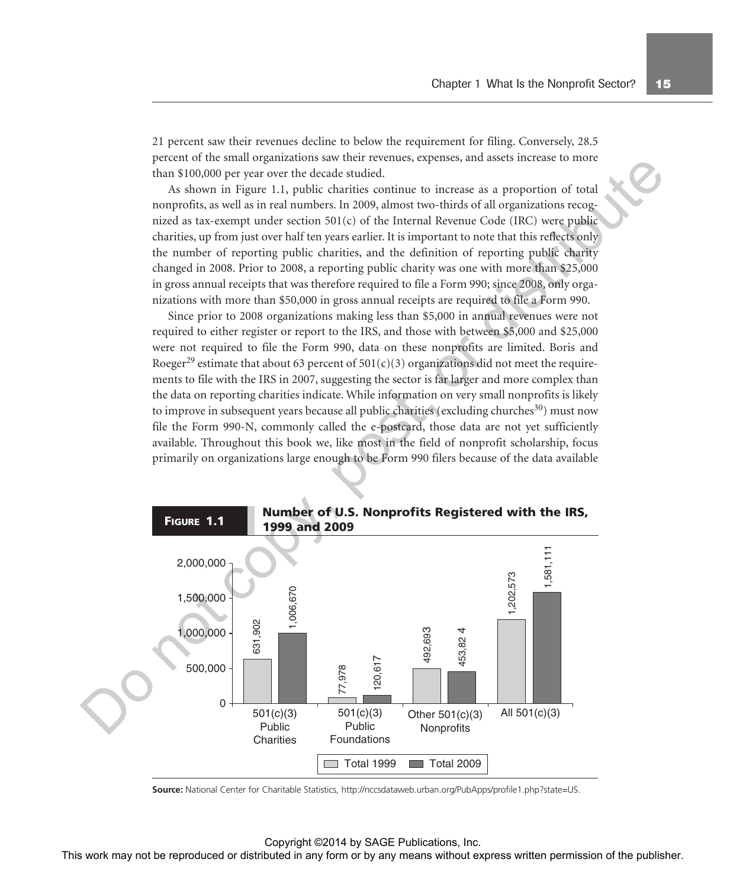21 percent saw their revenues decline to below the requirement for filing. Conversely, 28.5 percent of the small organizations saw their revenues, expenses, and assets increase to more than \$100,000 per year over the decade studied.

 As shown in Figure 1.1, public charities continue to increase as a proportion of total nonprofits, as well as in real numbers. In 2009, almost two-thirds of all organizations recognized as tax-exempt under section 501(c) of the Internal Revenue Code (IRC) were public charities, up from just over half ten years earlier. It is important to note that this reflects only the number of reporting public charities, and the definition of reporting public charity changed in 2008. Prior to 2008, a reporting public charity was one with more than \$25,000 in gross annual receipts that was therefore required to file a Form 990; since 2008, only organizations with more than \$50,000 in gross annual receipts are required to file a Form 990.

 Since prior to 2008 organizations making less than \$5,000 in annual revenues were not required to either register or report to the IRS, and those with between \$5,000 and \$25,000 were not required to file the Form 990, data on these nonprofits are limited. Boris and Roeger<sup>29</sup> estimate that about 63 percent of 501(c)(3) organizations did not meet the requirements to file with the IRS in 2007, suggesting the sector is far larger and more complex than the data on reporting charities indicate. While information on very small nonprofits is likely to improve in subsequent years because all public charities (excluding churches $30$ ) must now file the Form 990-N, commonly called the e-postcard, those data are not yet sufficiently available. Throughout this book we, like most in the field of nonprofit scholarship, focus primarily on organizations large enough to be Form 990 filers because of the data available



**Source:** National Center for Charitable Statistics, http://nccsdataweb.urban.org/PubApps/profile1.php?state=US.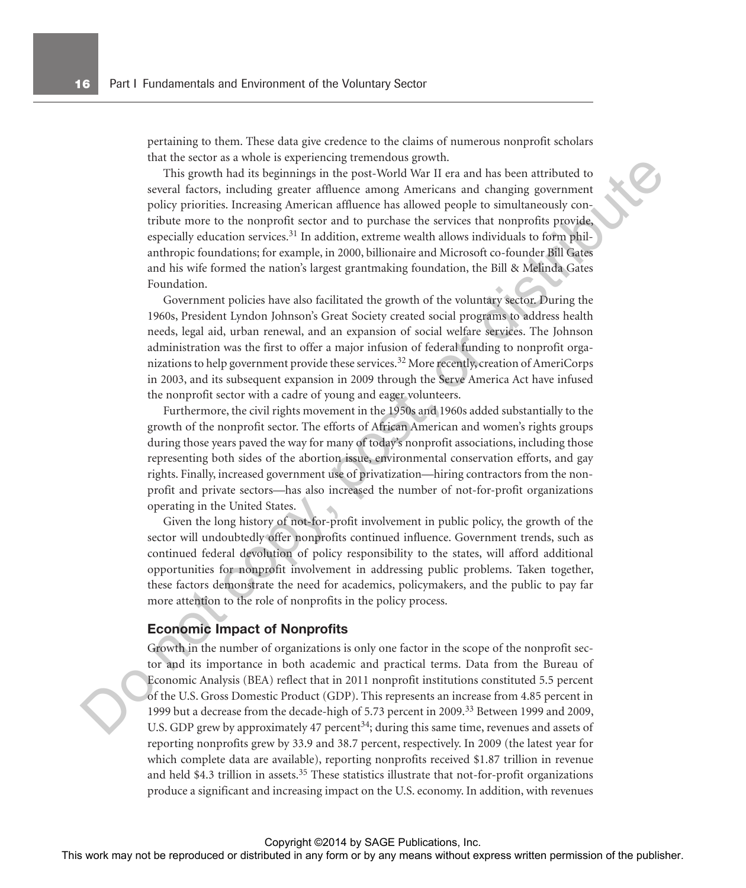pertaining to them. These data give credence to the claims of numerous nonprofit scholars that the sector as a whole is experiencing tremendous growth.

 This growth had its beginnings in the post-World War II era and has been attributed to several factors, including greater affluence among Americans and changing government policy priorities. Increasing American affluence has allowed people to simultaneously contribute more to the nonprofit sector and to purchase the services that nonprofits provide, especially education services.<sup>31</sup> In addition, extreme wealth allows individuals to form philanthropic foundations; for example, in 2000, billionaire and Microsoft co-founder Bill Gates and his wife formed the nation's largest grantmaking foundation, the Bill & Melinda Gates Foundation.

 Government policies have also facilitated the growth of the voluntary sector. During the 1960s, President Lyndon Johnson's Great Society created social programs to address health needs, legal aid, urban renewal, and an expansion of social welfare services. The Johnson administration was the first to offer a major infusion of federal funding to nonprofit organizations to help government provide these services.<sup>32</sup> More recently, creation of AmeriCorps in 2003, and its subsequent expansion in 2009 through the Serve America Act have infused the nonprofit sector with a cadre of young and eager volunteers.

 Furthermore, the civil rights movement in the 1950s and 1960s added substantially to the growth of the nonprofit sector. The efforts of African American and women's rights groups during those years paved the way for many of today's nonprofit associations, including those representing both sides of the abortion issue, environmental conservation efforts, and gay rights. Finally, increased government use of privatization—hiring contractors from the nonprofit and private sectors—has also increased the number of not-for-profit organizations operating in the United States.

 Given the long history of not-for-profit involvement in public policy, the growth of the sector will undoubtedly offer nonprofits continued influence. Government trends, such as continued federal devolution of policy responsibility to the states, will afford additional opportunities for nonprofit involvement in addressing public problems. Taken together, these factors demonstrate the need for academics, policymakers, and the public to pay far more attention to the role of nonprofits in the policy process.

#### **Economic Impact of Nonprofits**

 Growth in the number of organizations is only one factor in the scope of the nonprofit sector and its importance in both academic and practical terms. Data from the Bureau of Economic Analysis (BEA) reflect that in 2011 nonprofit institutions constituted 5.5 percent of the U.S. Gross Domestic Product (GDP). This represents an increase from 4.85 percent in 1999 but a decrease from the decade-high of 5.73 percent in 2009. 33 Between 1999 and 2009, U.S. GDP grew by approximately 47 percent<sup>34</sup>; during this same time, revenues and assets of reporting nonprofits grew by 33.9 and 38.7 percent, respectively. In 2009 (the latest year for which complete data are available), reporting nonprofits received \$1.87 trillion in revenue and held \$4.3 trillion in assets.<sup>35</sup> These statistics illustrate that not-for-profit organizations produce a significant and increasing impact on the U.S. economy. In addition, with revenues The results are the results of the reproduced or distributed in any form or by any form or by any form or by any form or by any form or by any means with the results of the reproduced in any form or the respective term of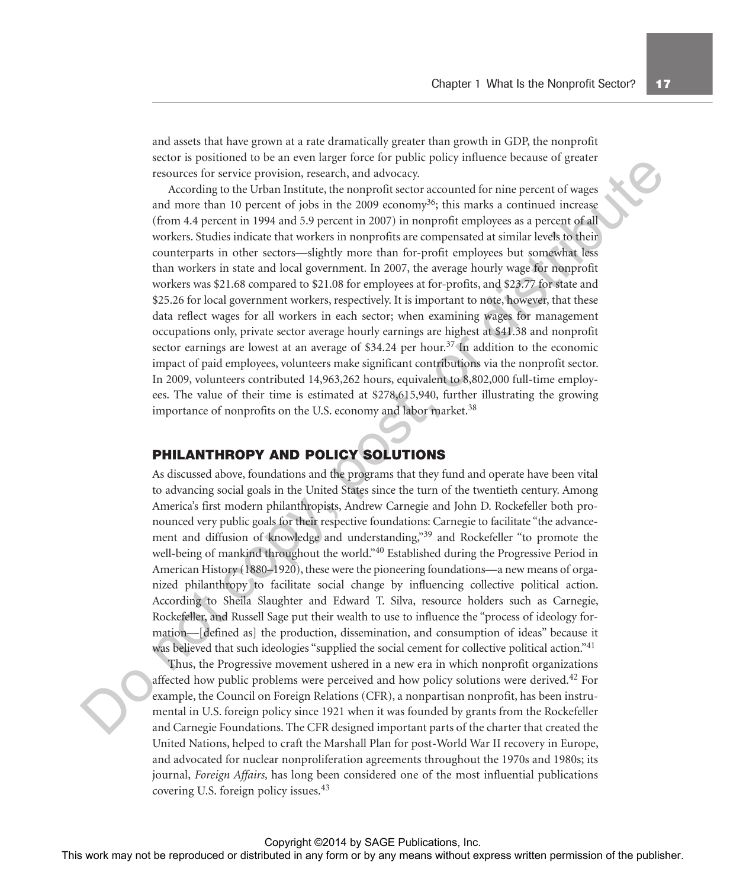and assets that have grown at a rate dramatically greater than growth in GDP, the nonprofit sector is positioned to be an even larger force for public policy influence because of greater resources for service provision, research, and advocacy.

 According to the Urban Institute, the nonprofit sector accounted for nine percent of wages and more than 10 percent of jobs in the 2009 economy<sup>36</sup>; this marks a continued increase (from 4.4 percent in 1994 and 5.9 percent in 2007) in nonprofit employees as a percent of all workers. Studies indicate that workers in nonprofits are compensated at similar levels to their counterparts in other sectors—slightly more than for-profit employees but somewhat less than workers in state and local government. In 2007, the average hourly wage for nonprofit workers was \$21.68 compared to \$21.08 for employees at for-profits, and \$23.77 for state and \$25.26 for local government workers, respectively. It is important to note, however, that these data reflect wages for all workers in each sector; when examining wages for management occupations only, private sector average hourly earnings are highest at \$41.38 and nonprofit sector earnings are lowest at an average of \$34.24 per hour.<sup>37</sup> In addition to the economic impact of paid employees, volunteers make significant contributions via the nonprofit sector. In 2009, volunteers contributed 14,963,262 hours, equivalent to 8,802,000 full-time employees. The value of their time is estimated at \$278,615,940, further illustrating the growing importance of nonprofits on the U.S. economy and labor market. 38 EXAPY THIS CONTENT IS well as the result of the reproduced or distributed in any form or by any form or by any form or by any form or by any means with the result of the result of the result of the results of the results

#### **PHILANTHROPY AND POLICY SOLUTIONS**

 As discussed above, foundations and the programs that they fund and operate have been vital to advancing social goals in the United States since the turn of the twentieth century. Among America's first modern philanthropists, Andrew Carnegie and John D. Rockefeller both pronounced very public goals for their respective foundations: Carnegie to facilitate "the advancement and diffusion of knowledge and understanding,"<sup>39</sup> and Rockefeller "to promote the well-being of mankind throughout the world."<sup>40</sup> Established during the Progressive Period in American History (1880–1920), these were the pioneering foundations—a new means of organized philanthropy to facilitate social change by influencing collective political action. According to Sheila Slaughter and Edward T. Silva, resource holders such as Carnegie, Rockefeller, and Russell Sage put their wealth to use to influence the "process of ideology formation—[defined as] the production, dissemination, and consumption of ideas" because it was believed that such ideologies "supplied the social cement for collective political action." <sup>41</sup>

 Thus, the Progressive movement ushered in a new era in which nonprofit organizations affected how public problems were perceived and how policy solutions were derived.<sup>42</sup> For example, the Council on Foreign Relations (CFR), a nonpartisan nonprofit, has been instrumental in U.S. foreign policy since 1921 when it was founded by grants from the Rockefeller and Carnegie Foundations. The CFR designed important parts of the charter that created the United Nations, helped to craft the Marshall Plan for post-World War II recovery in Europe, and advocated for nuclear nonproliferation agreements throughout the 1970s and 1980s; its journal, *Foreign Affairs,* has long been considered one of the most influential publications covering U.S. foreign policy issues. 43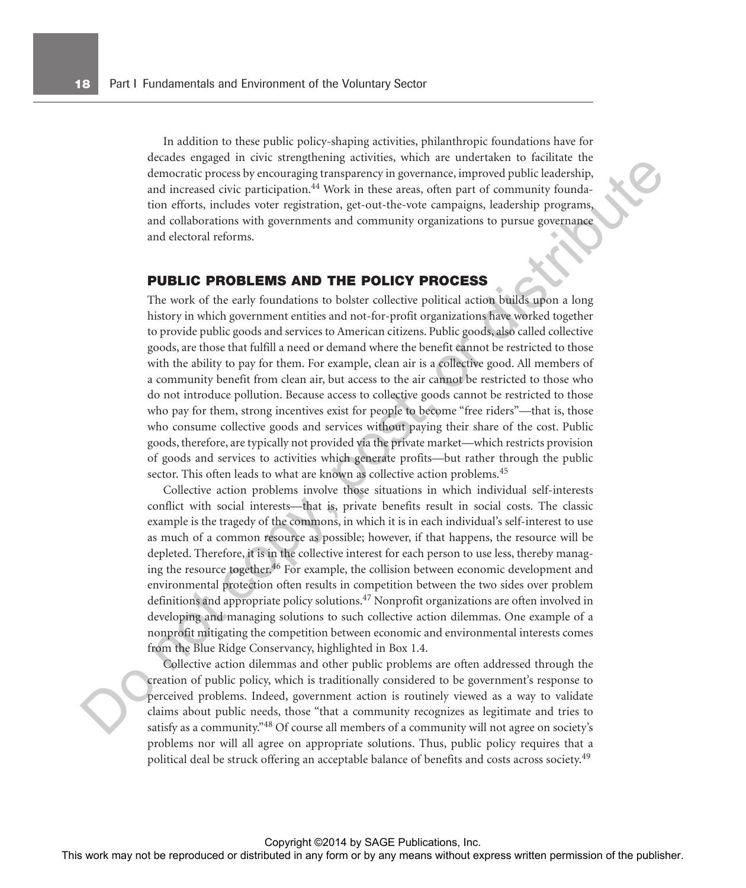In addition to these public policy-shaping activities, philanthropic foundations have for decades engaged in civic strengthening activities, which are undertaken to facilitate the democratic process by encouraging transparency in governance, improved public leadership, and increased civic participation.<sup>44</sup> Work in these areas, often part of community foundation efforts, includes voter registration, get-out-the-vote campaigns, leadership programs, and collaborations with governments and community organizations to pursue governance and electoral reforms.

#### **PUBLIC PROBLEMS AND THE POLICY PROCESS**

 The work of the early foundations to bolster collective political action builds upon a long history in which government entities and not-for-profit organizations have worked together to provide public goods and services to American citizens. Public goods, also called collective goods, are those that fulfill a need or demand where the benefit cannot be restricted to those with the ability to pay for them. For example, clean air is a collective good. All members of a community benefit from clean air, but access to the air cannot be restricted to those who do not introduce pollution. Because access to collective goods cannot be restricted to those who pay for them, strong incentives exist for people to become "free riders"—that is, those who consume collective goods and services without paying their share of the cost. Public goods, therefore, are typically not provided via the private market—which restricts provision of goods and services to activities which generate profits—but rather through the public sector. This often leads to what are known as collective action problems.<sup>45</sup> The control or the repression of the representation of the representation of the publisher or distributed in any form or by any means with  $\alpha$  any  $\alpha$  or  $\alpha$  or  $\alpha$  or  $\alpha$  or  $\alpha$  or  $\alpha$  or  $\alpha$  or  $\alpha$  or  $\alpha$  or

 Collective action problems involve those situations in which individual self-interests conflict with social interests—that is, private benefits result in social costs. The classic example is the tragedy of the commons, in which it is in each individual's self-interest to use as much of a common resource as possible; however, if that happens, the resource will be depleted. Therefore, it is in the collective interest for each person to use less, thereby managing the resource together. 46 For example, the collision between economic development and environmental protection often results in competition between the two sides over problem definitions and appropriate policy solutions. 47 Nonprofit organizations are often involved in developing and managing solutions to such collective action dilemmas. One example of a nonprofit mitigating the competition between economic and environmental interests comes from the Blue Ridge Conservancy, highlighted in Box 1.4.

 Collective action dilemmas and other public problems are often addressed through the creation of public policy, which is traditionally considered to be government's response to perceived problems. Indeed, government action is routinely viewed as a way to validate claims about public needs, those "that a community recognizes as legitimate and tries to satisfy as a community." <sup>48</sup> Of course all members of a community will not agree on society's problems nor will all agree on appropriate solutions. Thus, public policy requires that a political deal be struck offering an acceptable balance of benefits and costs across society.<sup>49</sup>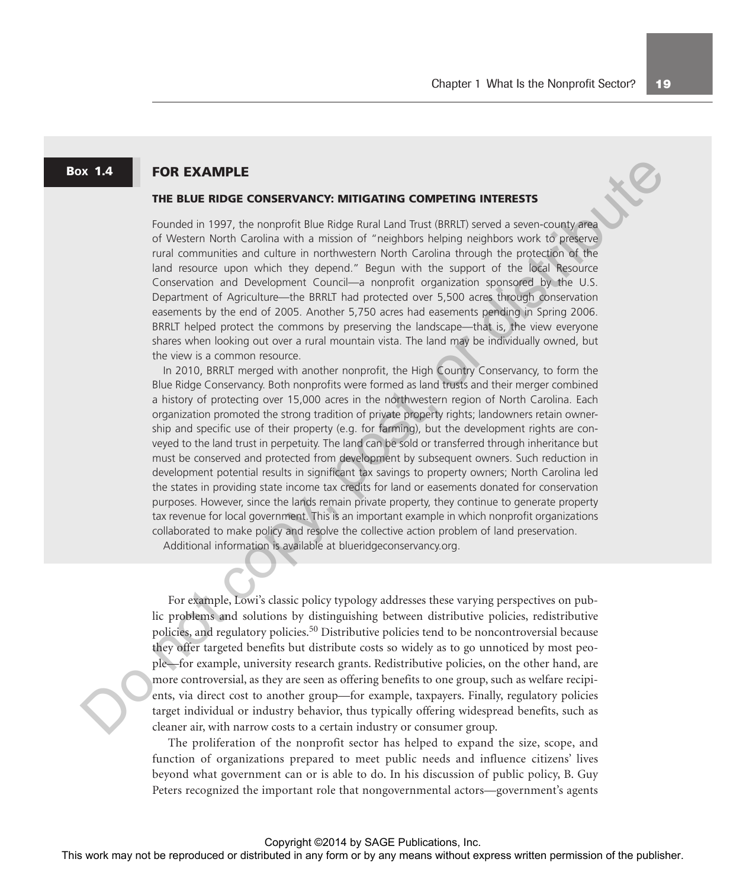#### **FOR EXAMPLE BOX 1.4**

#### **THE BLUE RIDGE CONSERVANCY: MITIGATING COMPETING INTERESTS**

Founded in 1997, the nonprofit Blue Ridge Rural Land Trust (BRRLT) served a seven-county area of Western North Carolina with a mission of "neighbors helping neighbors work to preserve rural communities and culture in northwestern North Carolina through the protection of the land resource upon which they depend." Begun with the support of the local Resource Conservation and Development Council—a nonprofit organization sponsored by the U.S. Department of Agriculture—the BRRLT had protected over 5,500 acres through conservation easements by the end of 2005. Another 5,750 acres had easements pending in Spring 2006. BRRLT helped protect the commons by preserving the landscape—that is, the view everyone shares when looking out over a rural mountain vista. The land may be individually owned, but the view is a common resource.

In 2010, BRRLT merged with another nonprofit, the High Country Conservancy, to form the Blue Ridge Conservancy. Both nonprofits were formed as land trusts and their merger combined a history of protecting over 15,000 acres in the northwestern region of North Carolina. Each organization promoted the strong tradition of private property rights; landowners retain ownership and specific use of their property (e.g. for farming), but the development rights are conveyed to the land trust in perpetuity. The land can be sold or transferred through inheritance but must be conserved and protected from development by subsequent owners. Such reduction in development potential results in significant tax savings to property owners; North Carolina led the states in providing state income tax credits for land or easements donated for conservation purposes. However, since the lands remain private property, they continue to generate property tax revenue for local government. This is an important example in which nonprofit organizations collaborated to make policy and resolve the collective action problem of land preservation. **FOR EXAMPLE**<br>
THE BLUE RIDGE CONSERVANCY: MITGATING COMPETING INTERESTS<br>
reproduced in 1992, the angenda state results consider the publishering in any form or by any means with the publisher shall also the results with

Additional information is available at blueridgeconservancy.org.

 For example, Lowi's classic policy typology addresses these varying perspectives on public problems and solutions by distinguishing between distributive policies, redistributive policies, and regulatory policies. 50 Distributive policies tend to be noncontroversial because they offer targeted benefits but distribute costs so widely as to go unnoticed by most people—for example, university research grants. Redistributive policies, on the other hand, are more controversial, as they are seen as offering benefits to one group, such as welfare recipients, via direct cost to another group—for example, taxpayers. Finally, regulatory policies target individual or industry behavior, thus typically offering widespread benefits, such as cleaner air, with narrow costs to a certain industry or consumer group.

 The proliferation of the nonprofit sector has helped to expand the size, scope, and function of organizations prepared to meet public needs and influence citizens' lives beyond what government can or is able to do. In his discussion of public policy, B. Guy Peters recognized the important role that nongovernmental actors—government's agents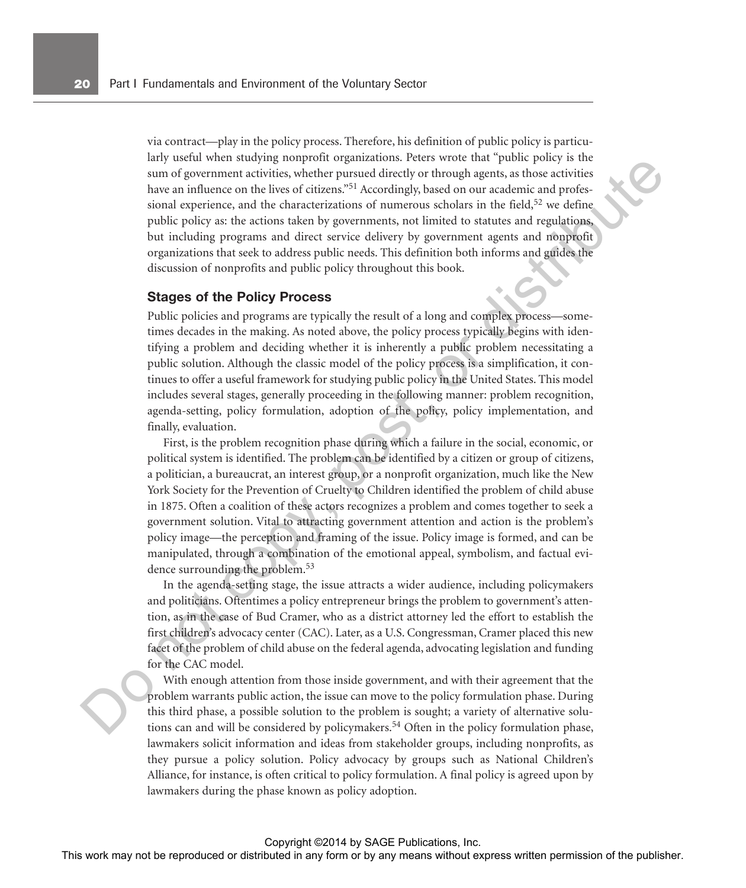via contract—play in the policy process. Therefore, his definition of public policy is particularly useful when studying nonprofit organizations. Peters wrote that "public policy is the sum of government activities, whether pursued directly or through agents, as those activities have an influence on the lives of citizens."<sup>51</sup> Accordingly, based on our academic and professional experience, and the characterizations of numerous scholars in the field,<sup>52</sup> we define public policy as: the actions taken by governments, not limited to statutes and regulations, but including programs and direct service delivery by government agents and nonprofit organizations that seek to address public needs. This definition both informs and guides the discussion of nonprofits and public policy throughout this book.

#### **Stages of the Policy Process**

 Public policies and programs are typically the result of a long and complex process—sometimes decades in the making. As noted above, the policy process typically begins with identifying a problem and deciding whether it is inherently a public problem necessitating a public solution. Although the classic model of the policy process is a simplification, it continues to offer a useful framework for studying public policy in the United States. This model includes several stages, generally proceeding in the following manner: problem recognition, agenda-setting, policy formulation, adoption of the policy, policy implementation, and finally, evaluation.

 First, is the problem recognition phase during which a failure in the social, economic, or political system is identified. The problem can be identified by a citizen or group of citizens, a politician, a bureaucrat, an interest group, or a nonprofit organization, much like the New York Society for the Prevention of Cruelty to Children identified the problem of child abuse in 1875. Often a coalition of these actors recognizes a problem and comes together to seek a government solution. Vital to attracting government attention and action is the problem's policy image—the perception and framing of the issue. Policy image is formed, and can be manipulated, through a combination of the emotional appeal, symbolism, and factual evidence surrounding the problem. 53 The most may not be reproduced or distributed in a publisher any form or by any form or by any form or by any form or by any form or by any form or by any form or by any form or by any form or by any form or by any form or

 In the agenda-setting stage, the issue attracts a wider audience, including policymakers and politicians. Oftentimes a policy entrepreneur brings the problem to government's attention, as in the case of Bud Cramer, who as a district attorney led the effort to establish the first children's advocacy center (CAC). Later, as a U.S. Congressman, Cramer placed this new facet of the problem of child abuse on the federal agenda, advocating legislation and funding for the CAC model.

 With enough attention from those inside government, and with their agreement that the problem warrants public action, the issue can move to the policy formulation phase. During this third phase, a possible solution to the problem is sought; a variety of alternative solutions can and will be considered by policymakers. 54 Often in the policy formulation phase, lawmakers solicit information and ideas from stakeholder groups, including nonprofits, as they pursue a policy solution. Policy advocacy by groups such as National Children's Alliance, for instance, is often critical to policy formulation. A final policy is agreed upon by lawmakers during the phase known as policy adoption.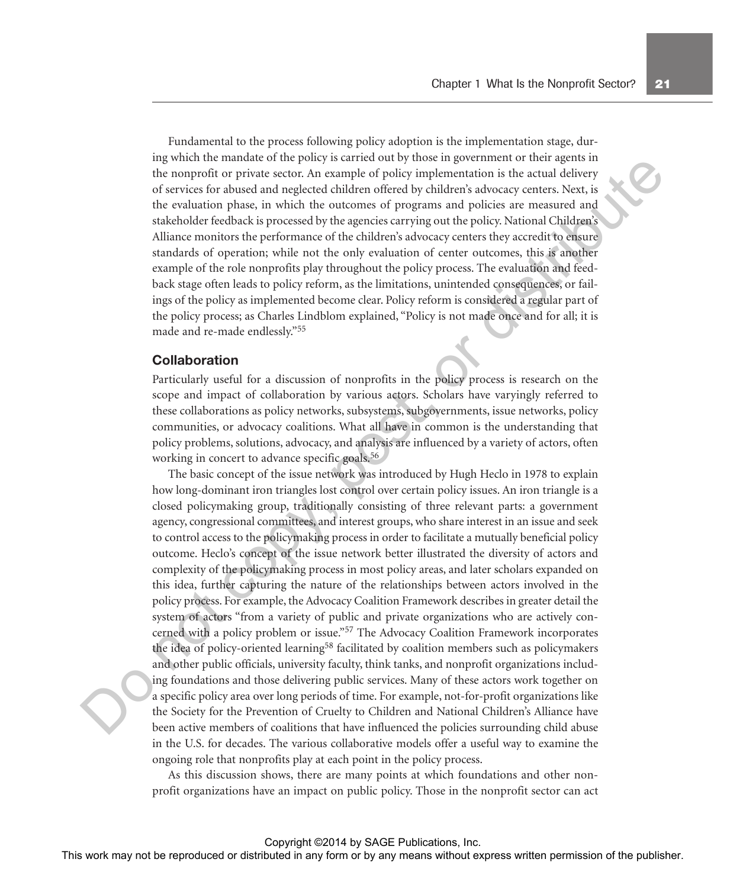Fundamental to the process following policy adoption is the implementation stage, during which the mandate of the policy is carried out by those in government or their agents in the nonprofit or private sector. An example of policy implementation is the actual delivery of services for abused and neglected children offered by children's advocacy centers. Next, is the evaluation phase, in which the outcomes of programs and policies are measured and stakeholder feedback is processed by the agencies carrying out the policy. National Children's Alliance monitors the performance of the children's advocacy centers they accredit to ensure standards of operation; while not the only evaluation of center outcomes, this is another example of the role nonprofits play throughout the policy process. The evaluation and feedback stage often leads to policy reform, as the limitations, unintended consequences, or failings of the policy as implemented become clear. Policy reform is considered a regular part of the policy process; as Charles Lindblom explained, "Policy is not made once and for all; it is made and re-made endlessly."<sup>55</sup>

#### **Collaboration**

 Particularly useful for a discussion of nonprofits in the policy process is research on the scope and impact of collaboration by various actors. Scholars have varyingly referred to these collaborations as policy networks, subsystems, subgovernments, issue networks, policy communities, or advocacy coalitions. What all have in common is the understanding that policy problems, solutions, advocacy, and analysis are influenced by a variety of actors, often working in concert to advance specific goals.<sup>56</sup>

 The basic concept of the issue network was introduced by Hugh Heclo in 1978 to explain how long-dominant iron triangles lost control over certain policy issues. An iron triangle is a closed policymaking group, traditionally consisting of three relevant parts: a government agency, congressional committees, and interest groups, who share interest in an issue and seek to control access to the policymaking process in order to facilitate a mutually beneficial policy outcome. Heclo's concept of the issue network better illustrated the diversity of actors and complexity of the policymaking process in most policy areas, and later scholars expanded on this idea, further capturing the nature of the relationships between actors involved in the policy process. For example, the Advocacy Coalition Framework describes in greater detail the system of actors "from a variety of public and private organizations who are actively concerned with a policy problem or issue."<sup>57</sup> The Advocacy Coalition Framework incorporates the idea of policy-oriented learning<sup>58</sup> facilitated by coalition members such as policymakers and other public officials, university faculty, think tanks, and nonprofit organizations including foundations and those delivering public services. Many of these actors work together on a specific policy area over long periods of time. For example, not-for-profit organizations like the Society for the Prevention of Cruelty to Children and National Children's Alliance have been active members of coalitions that have influenced the policies surrounding child abuse in the U.S. for decades. The various collaborative models offer a useful way to examine the ongoing role that nonprofits play at each point in the policy process. The most may not be reproduced or distributed in any form of the reproduced or distributed in any form or by any form or by any means with the control or the result of the results of the publisher. Any form or by any mean

 As this discussion shows, there are many points at which foundations and other nonprofit organizations have an impact on public policy. Those in the nonprofit sector can act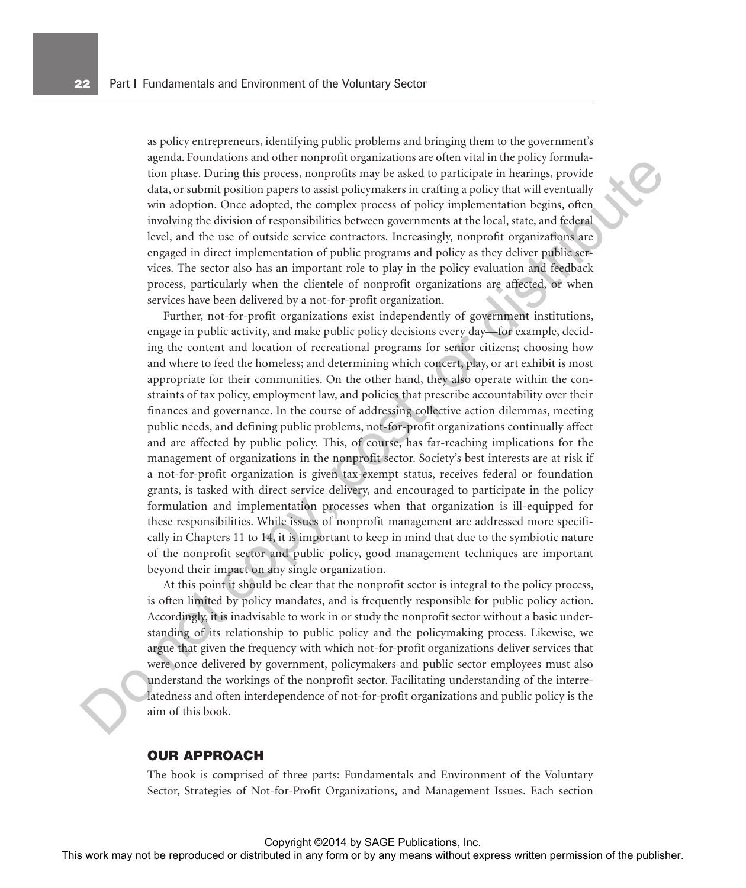as policy entrepreneurs, identifying public problems and bringing them to the government's agenda. Foundations and other nonprofit organizations are often vital in the policy formulation phase. During this process, nonprofits may be asked to participate in hearings, provide data, or submit position papers to assist policymakers in crafting a policy that will eventually win adoption. Once adopted, the complex process of policy implementation begins, often involving the division of responsibilities between governments at the local, state, and federal level, and the use of outside service contractors. Increasingly, nonprofit organizations are engaged in direct implementation of public programs and policy as they deliver public services. The sector also has an important role to play in the policy evaluation and feedback process, particularly when the clientele of nonprofit organizations are affected, or when services have been delivered by a not-for-profit organization.

 Further, not-for-profit organizations exist independently of government institutions, engage in public activity, and make public policy decisions every day—for example, deciding the content and location of recreational programs for senior citizens; choosing how and where to feed the homeless; and determining which concert, play, or art exhibit is most appropriate for their communities. On the other hand, they also operate within the constraints of tax policy, employment law, and policies that prescribe accountability over their finances and governance. In the course of addressing collective action dilemmas, meeting public needs, and defining public problems, not-for-profit organizations continually affect and are affected by public policy. This, of course, has far-reaching implications for the management of organizations in the nonprofit sector. Society's best interests are at risk if a not-for-profit organization is given tax-exempt status, receives federal or foundation grants, is tasked with direct service delivery, and encouraged to participate in the policy formulation and implementation processes when that organization is ill-equipped for these responsibilities. While issues of nonprofit management are addressed more specifically in Chapters 11 to 14, it is important to keep in mind that due to the symbiotic nature of the nonprofit sector and public policy, good management techniques are important beyond their impact on any single organization. From the rest in the repression of the representation in the representation of the representation or  $\sim$  any form or any means with  $\sim$  by any means with  $\sim$  by any means with  $\sim$  by any means we can compute the publi

 At this point it should be clear that the nonprofit sector is integral to the policy process, is often limited by policy mandates, and is frequently responsible for public policy action. Accordingly, it is inadvisable to work in or study the nonprofit sector without a basic understanding of its relationship to public policy and the policymaking process. Likewise, we argue that given the frequency with which not-for-profit organizations deliver services that were once delivered by government, policymakers and public sector employees must also understand the workings of the nonprofit sector. Facilitating understanding of the interrelatedness and often interdependence of not-for-profit organizations and public policy is the aim of this book.

#### **OUR APPROACH**

 The book is comprised of three parts: Fundamentals and Environment of the Voluntary Sector, Strategies of Not-for-Profit Organizations, and Management Issues. Each section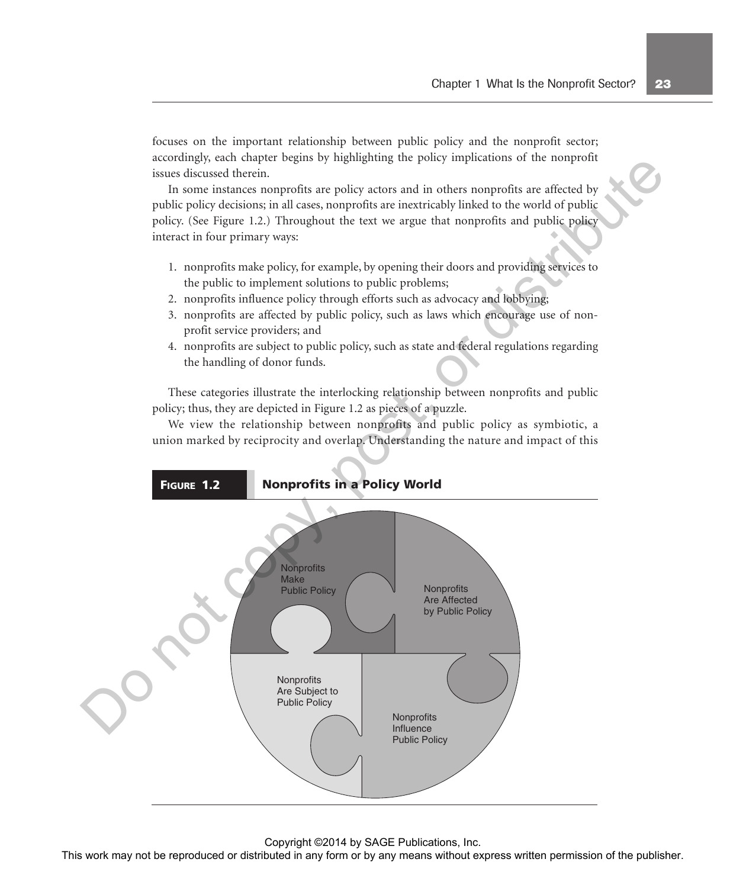focuses on the important relationship between public policy and the nonprofit sector; accordingly, each chapter begins by highlighting the policy implications of the nonprofit issues discussed therein.

 In some instances nonprofits are policy actors and in others nonprofits are affected by public policy decisions; in all cases, nonprofits are inextricably linked to the world of public policy. (See Figure 1.2.) Throughout the text we argue that nonprofits and public policy interact in four primary ways:

- 1. nonprofits make policy, for example, by opening their doors and providing services to the public to implement solutions to public problems;
- 2. nonprofits influence policy through efforts such as advocacy and lobbying;
- 3. nonprofits are affected by public policy, such as laws which encourage use of nonprofit service providers; and
- 4. nonprofits are subject to public policy, such as state and federal regulations regarding the handling of donor funds.

 These categories illustrate the interlocking relationship between nonprofits and public policy; thus, they are depicted in Figure 1.2 as pieces of a puzzle.

 We view the relationship between nonprofits and public policy as symbiotic, a union marked by reciprocity and overlap. Understanding the nature and impact of this

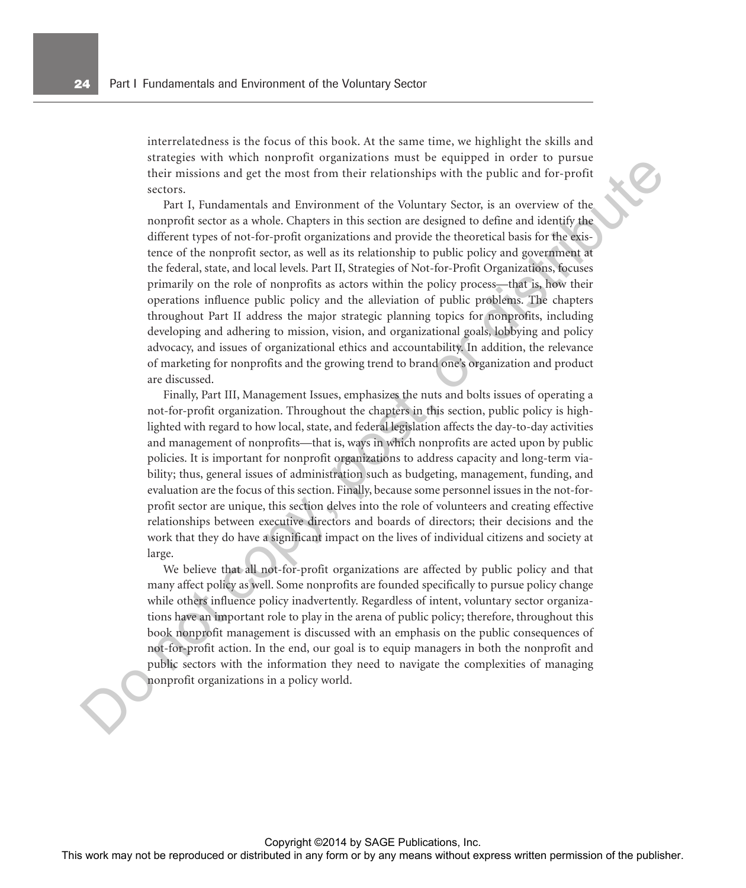interrelatedness is the focus of this book. At the same time, we highlight the skills and strategies with which nonprofit organizations must be equipped in order to pursue their missions and get the most from their relationships with the public and for-profit sectors.

 Part I, Fundamentals and Environment of the Voluntary Sector, is an overview of the nonprofit sector as a whole. Chapters in this section are designed to define and identify the different types of not-for-profit organizations and provide the theoretical basis for the existence of the nonprofit sector, as well as its relationship to public policy and government at the federal, state, and local levels. Part II, Strategies of Not-for-Profit Organizations, focuses primarily on the role of nonprofits as actors within the policy process—that is, how their operations influence public policy and the alleviation of public problems. The chapters throughout Part II address the major strategic planning topics for nonprofits, including developing and adhering to mission, vision, and organizational goals, lobbying and policy advocacy, and issues of organizational ethics and accountability. In addition, the relevance of marketing for nonprofits and the growing trend to brand one's organization and product are discussed. States are well as the rest may be reproduced to the relation or the relationship with the publisher of the relationship or the relationship or the relationship or the relationship of the relationship of the relationship

 Finally, Part III, Management Issues, emphasizes the nuts and bolts issues of operating a not-for-profit organization. Throughout the chapters in this section, public policy is highlighted with regard to how local, state, and federal legislation affects the day-to-day activities and management of nonprofits—that is, ways in which nonprofits are acted upon by public policies. It is important for nonprofit organizations to address capacity and long-term viability; thus, general issues of administration such as budgeting, management, funding, and evaluation are the focus of this section. Finally, because some personnel issues in the not-forprofit sector are unique, this section delves into the role of volunteers and creating effective relationships between executive directors and boards of directors; their decisions and the work that they do have a significant impact on the lives of individual citizens and society at large.

 We believe that all not-for-profit organizations are affected by public policy and that many affect policy as well. Some nonprofits are founded specifically to pursue policy change while others influence policy inadvertently. Regardless of intent, voluntary sector organizations have an important role to play in the arena of public policy; therefore, throughout this book nonprofit management is discussed with an emphasis on the public consequences of not-for-profit action. In the end, our goal is to equip managers in both the nonprofit and public sectors with the information they need to navigate the complexities of managing nonprofit organizations in a policy world.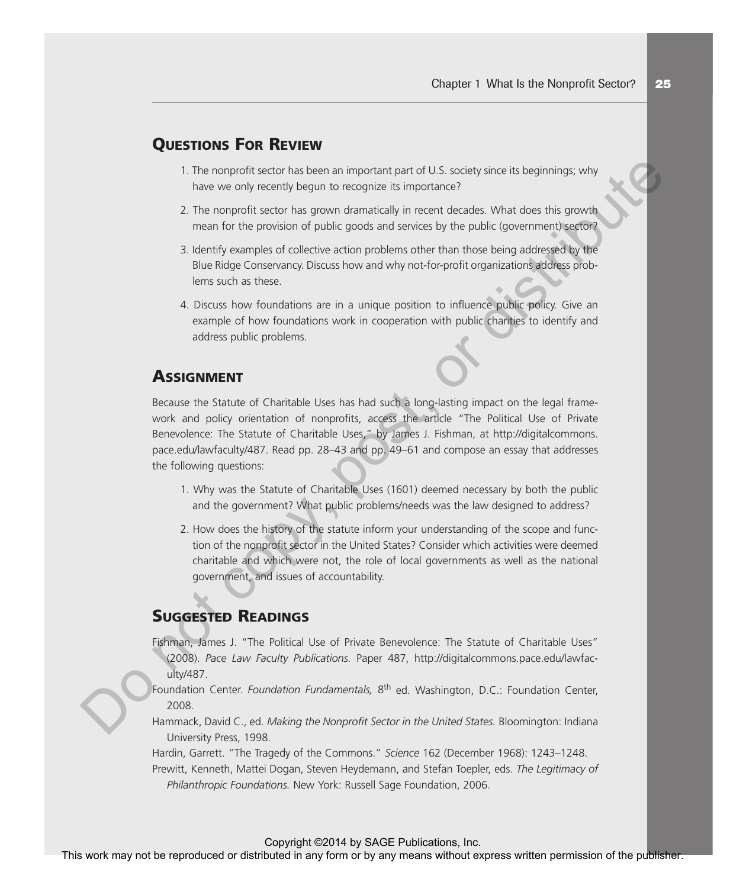## **QUESTIONS FOR REVIEW**

- 1. The nonprofit sector has been an important part of U.S. society since its beginnings; why have we only recently begun to recognize its importance?
- 2. The nonprofit sector has grown dramatically in recent decades. What does this growth mean for the provision of public goods and services by the public (government) sector?
- 3. Identify examples of collective action problems other than those being addressed by the Blue Ridge Conservancy. Discuss how and why not-for-profit organizations address problems such as these.
- 4. Discuss how foundations are in a unique position to influence public policy. Give an example of how foundations work in cooperation with public charities to identify and address public problems.

#### **ASSIGNMENT**

Because the Statute of Charitable Uses has had such a long-lasting impact on the legal framework and policy orientation of nonprofits, access the article "The Political Use of Private Benevolence: The Statute of Charitable Uses," by James J. Fishman, at http://digitalcommons. pace.edu/lawfaculty/487. Read pp. 28–43 and pp. 49–61 and compose an essay that addresses the following questions: The nontropic may not be reproduced or distributed in any form or by any means which may not be reproduced at the reproduced or distributed in any means with the produced in any means with the publisher. The matter of the

- 1. Why was the Statute of Charitable Uses (1601) deemed necessary by both the public and the government? What public problems/needs was the law designed to address?
- 2. How does the history of the statute inform your understanding of the scope and function of the nonprofit sector in the United States? Consider which activities were deemed charitable and which were not, the role of local governments as well as the national government, and issues of accountability.

## **SUGGESTED READINGS**

Fishman, James J. "The Political Use of Private Benevolence: The Statute of Charitable Uses" (2008). *Pace Law Faculty Publications.* Paper 487, http://digitalcommons.pace.edu/lawfaculty/487.

- Foundation Center. *Foundation Fundamentals*, 8<sup>th</sup> ed. Washington, D.C.: Foundation Center, 2008.
- Hammack, David C., ed. *Making the Nonprofit Sector in the United States.* Bloomington: Indiana University Press, 1998.

Hardin, Garrett. "The Tragedy of the Commons." *Science* 162 (December 1968): 1243–1248.

Prewitt, Kenneth, Mattei Dogan, Steven Heydemann, and Stefan Toepler, eds. *The Legitimacy of Philanthropic Foundations.* New York: Russell Sage Foundation, 2006.